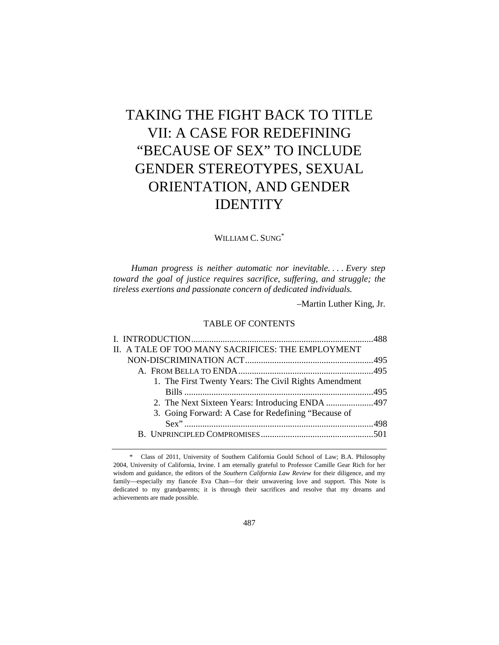# TAKING THE FIGHT BACK TO TITLE VII: A CASE FOR REDEFINING "BECAUSE OF SEX" TO INCLUDE GENDER STEREOTYPES, SEXUAL ORIENTATION, AND GENDER IDENTITY

## WILLIAM C. SUNG\*

*Human progress is neither automatic nor inevitable. . . . Every step toward the goal of justice requires sacrifice, suffering, and struggle; the tireless exertions and passionate concern of dedicated individuals.* 

–Martin Luther King, Jr.

## TABLE OF CONTENTS

| 2. The Next Sixteen Years: Introducing ENDA 497 |
|-------------------------------------------------|
|                                                 |
|                                                 |
|                                                 |
|                                                 |

 <sup>\*</sup> Class of 2011, University of Southern California Gould School of Law; B.A. Philosophy 2004, University of California, Irvine. I am eternally grateful to Professor Camille Gear Rich for her wisdom and guidance, the editors of the *Southern California Law Review* for their diligence, and my family—especially my fiancée Eva Chan—for their unwavering love and support. This Note is dedicated to my grandparents; it is through their sacrifices and resolve that my dreams and achievements are made possible.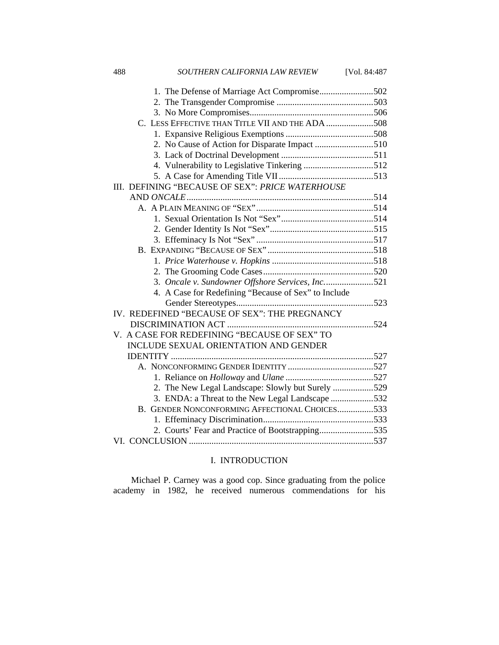| SOUTHERN CALIFORNIA LAW REVIEW<br>488<br>[Vol. 84:487 |
|-------------------------------------------------------|
| 1. The Defense of Marriage Act Compromise502          |
|                                                       |
|                                                       |
| C. LESS EFFECTIVE THAN TITLE VII AND THE ADA 508      |
|                                                       |
|                                                       |
|                                                       |
| 4. Vulnerability to Legislative Tinkering 512         |
|                                                       |
| III. DEFINING "BECAUSE OF SEX": PRICE WATERHOUSE      |
|                                                       |
|                                                       |
|                                                       |
|                                                       |
|                                                       |
|                                                       |
|                                                       |
|                                                       |
| 3. Oncale v. Sundowner Offshore Services, Inc521      |
| 4. A Case for Redefining "Because of Sex" to Include  |
|                                                       |
| IV. REDEFINED "BECAUSE OF SEX": THE PREGNANCY         |
|                                                       |
| V. A CASE FOR REDEFINING "BECAUSE OF SEX" TO          |
| <b>INCLUDE SEXUAL ORIENTATION AND GENDER</b>          |
|                                                       |
|                                                       |
|                                                       |
| 2. The New Legal Landscape: Slowly but Surely 529     |
| 3. ENDA: a Threat to the New Legal Landscape 532      |
| B. GENDER NONCONFORMING AFFECTIONAL CHOICES533        |
|                                                       |
| 2. Courts' Fear and Practice of Bootstrapping535      |
|                                                       |

## I. INTRODUCTION

Michael P. Carney was a good cop. Since graduating from the police academy in 1982, he received numerous commendations for his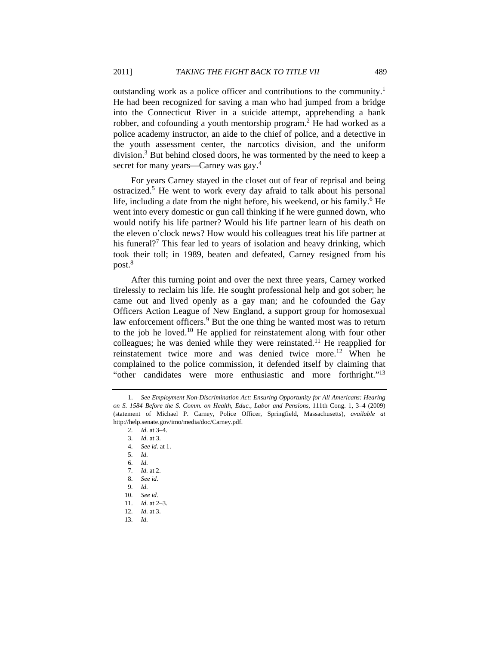outstanding work as a police officer and contributions to the community.<sup>1</sup> He had been recognized for saving a man who had jumped from a bridge into the Connecticut River in a suicide attempt, apprehending a bank robber, and cofounding a youth mentorship program.<sup>2</sup> He had worked as a police academy instructor, an aide to the chief of police, and a detective in the youth assessment center, the narcotics division, and the uniform division.3 But behind closed doors, he was tormented by the need to keep a secret for many years—Carney was gay.<sup>4</sup>

For years Carney stayed in the closet out of fear of reprisal and being ostracized.<sup>5</sup> He went to work every day afraid to talk about his personal life, including a date from the night before, his weekend, or his family.<sup>6</sup> He went into every domestic or gun call thinking if he were gunned down, who would notify his life partner? Would his life partner learn of his death on the eleven o'clock news? How would his colleagues treat his life partner at his funeral?<sup>7</sup> This fear led to years of isolation and heavy drinking, which took their toll; in 1989, beaten and defeated, Carney resigned from his post.<sup>8</sup>

After this turning point and over the next three years, Carney worked tirelessly to reclaim his life. He sought professional help and got sober; he came out and lived openly as a gay man; and he cofounded the Gay Officers Action League of New England, a support group for homosexual law enforcement officers.<sup>9</sup> But the one thing he wanted most was to return to the job he loved.10 He applied for reinstatement along with four other colleagues; he was denied while they were reinstated.<sup>11</sup> He reapplied for reinstatement twice more and was denied twice more.<sup>12</sup> When he complained to the police commission, it defended itself by claiming that "other candidates were more enthusiastic and more forthright."<sup>13</sup>

- 7. *Id.* at 2.
- 8. *See id.*
- 9. *Id.*
- 10. *See id.*
- 11. *Id.* at 2–3.
- 12. *Id.* at 3.
- 13. *Id.*

<sup>1.</sup> *See Employment Non-Discrimination Act: Ensuring Opportunity for All Americans: Hearing on S. 1584 Before the S. Comm. on Health, Educ., Labor and Pensions*, 111th Cong. 1, 3–4 (2009) (statement of Michael P. Carney, Police Officer, Springfield, Massachusetts), *available at* http://help.senate.gov/imo/media/doc/Carney.pdf.

<sup>2.</sup> *Id.* at 3–4.

<sup>3.</sup> *Id.* at 3.

<sup>4.</sup> *See id.* at 1.

<sup>5.</sup> *Id.*

<sup>6.</sup> *Id.*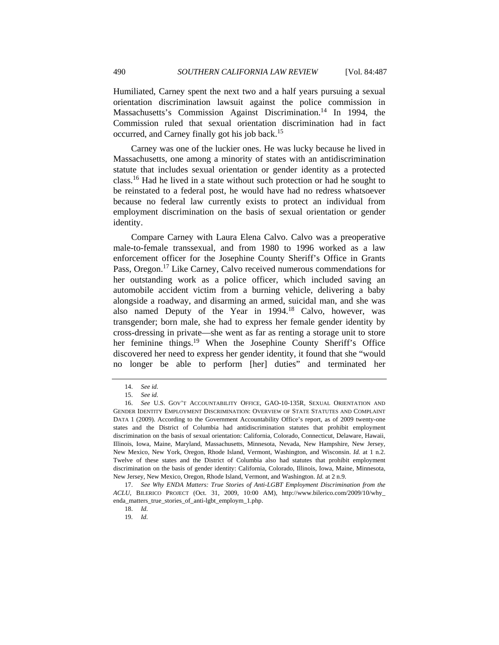Humiliated, Carney spent the next two and a half years pursuing a sexual orientation discrimination lawsuit against the police commission in Massachusetts's Commission Against Discrimination.<sup>14</sup> In 1994, the Commission ruled that sexual orientation discrimination had in fact occurred, and Carney finally got his job back.<sup>15</sup>

Carney was one of the luckier ones. He was lucky because he lived in Massachusetts, one among a minority of states with an antidiscrimination statute that includes sexual orientation or gender identity as a protected class.16 Had he lived in a state without such protection or had he sought to be reinstated to a federal post, he would have had no redress whatsoever because no federal law currently exists to protect an individual from employment discrimination on the basis of sexual orientation or gender identity.

Compare Carney with Laura Elena Calvo. Calvo was a preoperative male-to-female transsexual, and from 1980 to 1996 worked as a law enforcement officer for the Josephine County Sheriff's Office in Grants Pass, Oregon.<sup>17</sup> Like Carney, Calvo received numerous commendations for her outstanding work as a police officer, which included saving an automobile accident victim from a burning vehicle, delivering a baby alongside a roadway, and disarming an armed, suicidal man, and she was also named Deputy of the Year in 1994.<sup>18</sup> Calvo, however, was transgender; born male, she had to express her female gender identity by cross-dressing in private—she went as far as renting a storage unit to store her feminine things.<sup>19</sup> When the Josephine County Sheriff's Office discovered her need to express her gender identity, it found that she "would no longer be able to perform [her] duties" and terminated her

<sup>14.</sup> *See id.*

<sup>15.</sup> *See id.*

<sup>16.</sup> *See* U.S. GOV'T ACCOUNTABILITY OFFICE, GAO-10-135R, SEXUAL ORIENTATION AND GENDER IDENTITY EMPLOYMENT DISCRIMINATION: OVERVIEW OF STATE STATUTES AND COMPLAINT DATA 1 (2009). According to the Government Accountability Office's report, as of 2009 twenty-one states and the District of Columbia had antidiscrimination statutes that prohibit employment discrimination on the basis of sexual orientation: California, Colorado, Connecticut, Delaware, Hawaii, Illinois, Iowa, Maine, Maryland, Massachusetts, Minnesota, Nevada, New Hampshire, New Jersey, New Mexico, New York, Oregon, Rhode Island, Vermont, Washington, and Wisconsin. *Id.* at 1 n.2. Twelve of these states and the District of Columbia also had statutes that prohibit employment discrimination on the basis of gender identity: California, Colorado, Illinois, Iowa, Maine, Minnesota, New Jersey, New Mexico, Oregon, Rhode Island, Vermont, and Washington. *Id.* at 2 n.9.

<sup>17.</sup> *See Why ENDA Matters: True Stories of Anti-LGBT Employment Discrimination from the ACLU*, BILERICO PROJECT (Oct. 31, 2009, 10:00 AM), http://www.bilerico.com/2009/10/why\_ enda\_matters\_true\_stories\_of\_anti-lgbt\_employm\_1.php.

<sup>18.</sup> *Id.*

<sup>19.</sup> *Id.*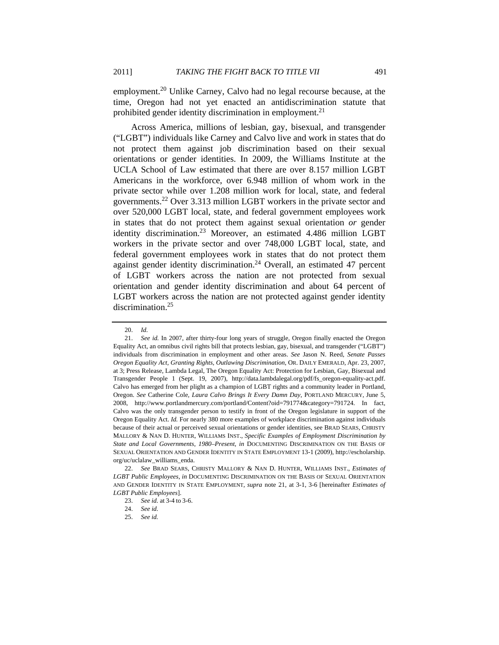employment.<sup>20</sup> Unlike Carney, Calvo had no legal recourse because, at the time, Oregon had not yet enacted an antidiscrimination statute that prohibited gender identity discrimination in employment.<sup>21</sup>

Across America, millions of lesbian, gay, bisexual, and transgender ("LGBT") individuals like Carney and Calvo live and work in states that do not protect them against job discrimination based on their sexual orientations or gender identities. In 2009, the Williams Institute at the UCLA School of Law estimated that there are over 8.157 million LGBT Americans in the workforce, over 6.948 million of whom work in the private sector while over 1.208 million work for local, state, and federal governments.22 Over 3.313 million LGBT workers in the private sector and over 520,000 LGBT local, state, and federal government employees work in states that do not protect them against sexual orientation *or* gender identity discrimination.<sup>23</sup> Moreover, an estimated 4.486 million LGBT workers in the private sector and over 748,000 LGBT local, state, and federal government employees work in states that do not protect them against gender identity discrimination.<sup>24</sup> Overall, an estimated 47 percent of LGBT workers across the nation are not protected from sexual orientation and gender identity discrimination and about 64 percent of LGBT workers across the nation are not protected against gender identity discrimination.25

<sup>20.</sup> *Id.*

<sup>21.</sup> *See id.* In 2007, after thirty-four long years of struggle, Oregon finally enacted the Oregon Equality Act, an omnibus civil rights bill that protects lesbian, gay, bisexual, and transgender ("LGBT") individuals from discrimination in employment and other areas. *See* Jason N. Reed, *Senate Passes Oregon Equality Act, Granting Rights, Outlawing Discrimination*, OR. DAILY EMERALD, Apr. 23, 2007, at 3; Press Release, Lambda Legal, The Oregon Equality Act: Protection for Lesbian, Gay, Bisexual and Transgender People 1 (Sept. 19, 2007), http://data.lambdalegal.org/pdf/fs\_oregon-equality-act.pdf. Calvo has emerged from her plight as a champion of LGBT rights and a community leader in Portland, Oregon. *See* Catherine Cole, *Laura Calvo Brings It Every Damn Day*, PORTLAND MERCURY, June 5, 2008, http://www.portlandmercury.com/portland/Content?oid=791774&category=791724. In fact, Calvo was the only transgender person to testify in front of the Oregon legislature in support of the Oregon Equality Act. *Id.* For nearly 380 more examples of workplace discrimination against individuals because of their actual or perceived sexual orientations or gender identities, see BRAD SEARS, CHRISTY MALLORY & NAN D. HUNTER, WILLIAMS INST., *Specific Examples of Employment Discrimination by State and Local Governments, 1980–Present*, *in* DOCUMENTING DISCRIMINATION ON THE BASIS OF SEXUAL ORIENTATION AND GENDER IDENTITY IN STATE EMPLOYMENT 13-1 (2009), http://escholarship. org/uc/uclalaw\_williams\_enda.

<sup>22.</sup> *See* BRAD SEARS, CHRISTY MALLORY & NAN D. HUNTER, WILLIAMS INST., *Estimates of LGBT Public Employees*, *in* DOCUMENTING DISCRIMINATION ON THE BASIS OF SEXUAL ORIENTATION AND GENDER IDENTITY IN STATE EMPLOYMENT, *supra* note 21, at 3-1, 3-6 [hereinafter *Estimates of LGBT Public Employees*].

<sup>23.</sup> *See id.* at 3-4 to 3-6.

<sup>24.</sup> *See id.*

<sup>25.</sup> *See id.*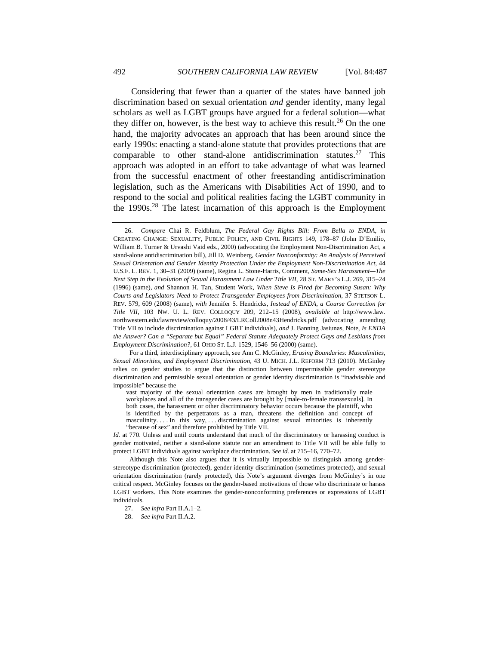Considering that fewer than a quarter of the states have banned job discrimination based on sexual orientation *and* gender identity, many legal scholars as well as LGBT groups have argued for a federal solution—what they differ on, however, is the best way to achieve this result.<sup>26</sup> On the one hand, the majority advocates an approach that has been around since the early 1990s: enacting a stand-alone statute that provides protections that are comparable to other stand-alone antidiscrimination statutes.<sup>27</sup> This approach was adopted in an effort to take advantage of what was learned from the successful enactment of other freestanding antidiscrimination legislation, such as the Americans with Disabilities Act of 1990, and to respond to the social and political realities facing the LGBT community in the  $1990s<sup>28</sup>$ . The latest incarnation of this approach is the Employment

For a third, interdisciplinary approach, see Ann C. McGinley, *Erasing Boundaries: Masculinities, Sexual Minorities, and Employment Discrimination*, 43 U. MICH. J.L. REFORM 713 (2010). McGinley relies on gender studies to argue that the distinction between impermissible gender stereotype discrimination and permissible sexual orientation or gender identity discrimination is "inadvisable and impossible" because the

vast majority of the sexual orientation cases are brought by men in traditionally male workplaces and all of the transgender cases are brought by [male-to-female transsexuals]. In both cases, the harassment or other discriminatory behavior occurs because the plaintiff, who is identified by the perpetrators as a man, threatens the definition and concept of masculinity. . . . In this way, . . . discrimination against sexual minorities is inherently "because of sex" and therefore prohibited by Title VII.

*Id.* at 770. Unless and until courts understand that much of the discriminatory or harassing conduct is gender motivated, neither a stand-alone statute nor an amendment to Title VII will be able fully to protect LGBT individuals against workplace discrimination. *See id.* at 715–16, 770–72.

Although this Note also argues that it is virtually impossible to distinguish among genderstereotype discrimination (protected), gender identity discrimination (sometimes protected), and sexual orientation discrimination (rarely protected), this Note's argument diverges from McGinley's in one critical respect. McGinley focuses on the gender-based motivations of those who discriminate or harass LGBT workers. This Note examines the gender-nonconforming preferences or expressions of LGBT individuals.

28. *See infra* Part II.A.2.

<sup>26.</sup> *Compare* Chai R. Feldblum, *The Federal Gay Rights Bill: From Bella to ENDA*, *in*  CREATING CHANGE: SEXUALITY, PUBLIC POLICY, AND CIVIL RIGHTS 149, 178–87 (John D'Emilio, William B. Turner & Urvashi Vaid eds., 2000) (advocating the Employment Non-Discrimination Act, a stand-alone antidiscrimination bill), Jill D. Weinberg, *Gender Nonconformity: An Analysis of Perceived Sexual Orientation and Gender Identity Protection Under the Employment Non-Discrimination Act*, 44 U.S.F. L. REV. 1, 30–31 (2009) (same), Regina L. Stone-Harris, Comment, *Same-Sex Harassment—The Next Step in the Evolution of Sexual Harassment Law Under Title VII*, 28 ST. MARY'S L.J. 269, 315–24 (1996) (same), *and* Shannon H. Tan, Student Work, *When Steve Is Fired for Becoming Susan: Why Courts and Legislators Need to Protect Transgender Employees from Discrimination*, 37 STETSON L. REV. 579, 609 (2008) (same), *with* Jennifer S. Hendricks, *Instead of ENDA, a Course Correction for Title VII*, 103 NW. U. L. REV. COLLOQUY 209, 212–15 (2008), *available at* http://www.law. northwestern.edu/lawreview/colloquy/2008/43/LRColl2008n43Hendricks.pdf (advocating amending Title VII to include discrimination against LGBT individuals), *and* J. Banning Jasiunas, Note, *Is ENDA the Answer? Can a "Separate but Equal" Federal Statute Adequately Protect Gays and Lesbians from Employment Discrimination?*, 61 OHIO ST. L.J. 1529, 1546–56 (2000) (same).

<sup>27.</sup> *See infra* Part II.A.1–2.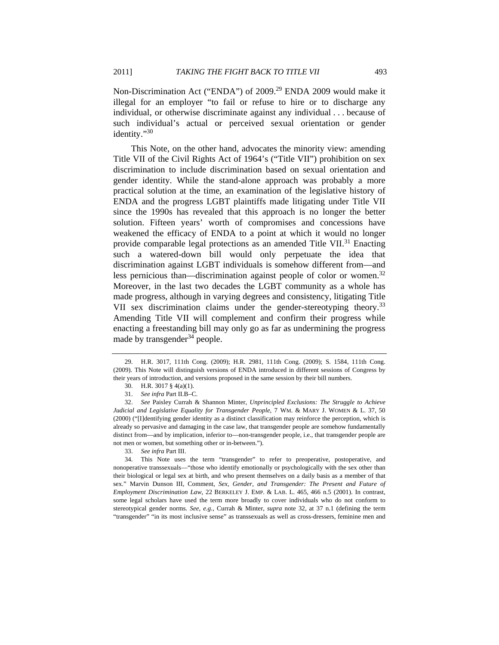Non-Discrimination Act ("ENDA") of 2009.<sup>29</sup> ENDA 2009 would make it illegal for an employer "to fail or refuse to hire or to discharge any individual, or otherwise discriminate against any individual . . . because of such individual's actual or perceived sexual orientation or gender identity."30

This Note, on the other hand, advocates the minority view: amending Title VII of the Civil Rights Act of 1964's ("Title VII") prohibition on sex discrimination to include discrimination based on sexual orientation and gender identity. While the stand-alone approach was probably a more practical solution at the time, an examination of the legislative history of ENDA and the progress LGBT plaintiffs made litigating under Title VII since the 1990s has revealed that this approach is no longer the better solution. Fifteen years' worth of compromises and concessions have weakened the efficacy of ENDA to a point at which it would no longer provide comparable legal protections as an amended Title VII.<sup>31</sup> Enacting such a watered-down bill would only perpetuate the idea that discrimination against LGBT individuals is somehow different from—and less pernicious than—discrimination against people of color or women.<sup>32</sup> Moreover, in the last two decades the LGBT community as a whole has made progress, although in varying degrees and consistency, litigating Title VII sex discrimination claims under the gender-stereotyping theory.<sup>33</sup> Amending Title VII will complement and confirm their progress while enacting a freestanding bill may only go as far as undermining the progress made by transgender $34$  people.

 <sup>29.</sup> H.R. 3017, 111th Cong. (2009); H.R. 2981, 111th Cong. (2009); S. 1584, 111th Cong. (2009). This Note will distinguish versions of ENDA introduced in different sessions of Congress by their years of introduction, and versions proposed in the same session by their bill numbers.

 <sup>30.</sup> H.R. 3017 § 4(a)(1).

<sup>31.</sup> *See infra* Part II.B–C.

 <sup>32.</sup> *See* Paisley Currah & Shannon Minter, *Unprincipled Exclusions: The Struggle to Achieve Judicial and Legislative Equality for Transgender People*, 7 WM. & MARY J. WOMEN & L. 37, 50 (2000) ("[I]dentifying gender identity as a distinct classification may reinforce the perception, which is already so pervasive and damaging in the case law, that transgender people are somehow fundamentally distinct from—and by implication, inferior to—non-transgender people, i.e., that transgender people are not men or women, but something other or in-between.").

<sup>33.</sup> *See infra* Part III.

 <sup>34.</sup> This Note uses the term "transgender" to refer to preoperative, postoperative, and nonoperative transsexuals—"those who identify emotionally or psychologically with the sex other than their biological or legal sex at birth, and who present themselves on a daily basis as a member of that sex." Marvin Dunson III, Comment, *Sex, Gender, and Transgender: The Present and Future of Employment Discrimination Law*, 22 BERKELEY J. EMP. & LAB. L. 465, 466 n.5 (2001). In contrast, some legal scholars have used the term more broadly to cover individuals who do not conform to stereotypical gender norms. *See, e.g.*, Currah & Minter, *supra* note 32, at 37 n.1 (defining the term "transgender" "in its most inclusive sense" as transsexuals as well as cross-dressers, feminine men and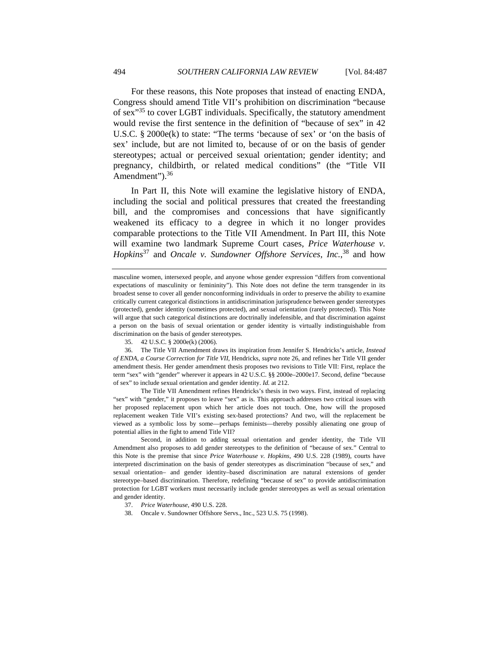For these reasons, this Note proposes that instead of enacting ENDA, Congress should amend Title VII's prohibition on discrimination "because of sex"35 to cover LGBT individuals. Specifically, the statutory amendment would revise the first sentence in the definition of "because of sex" in 42 U.S.C. § 2000e(k) to state: "The terms 'because of sex' or 'on the basis of sex' include, but are not limited to, because of or on the basis of gender stereotypes; actual or perceived sexual orientation; gender identity; and pregnancy, childbirth, or related medical conditions" (the "Title VII Amendment").<sup>36</sup>

In Part II, this Note will examine the legislative history of ENDA, including the social and political pressures that created the freestanding bill, and the compromises and concessions that have significantly weakened its efficacy to a degree in which it no longer provides comparable protections to the Title VII Amendment. In Part III, this Note will examine two landmark Supreme Court cases, *Price Waterhouse v. Hopkins*37 and *Oncale v. Sundowner Offshore Services, Inc.*, 38 and how

 36. The Title VII Amendment draws its inspiration from Jennifer S. Hendricks's article, *Instead of ENDA, a Course Correction for Title VII*, Hendricks, *supra* note 26, and refines her Title VII gender amendment thesis. Her gender amendment thesis proposes two revisions to Title VII: First, replace the term "sex" with "gender" wherever it appears in 42 U.S.C. §§ 2000e–2000e17. Second, define "because of sex" to include sexual orientation and gender identity. *Id.* at 212.

 The Title VII Amendment refines Hendricks's thesis in two ways. First, instead of replacing "sex" with "gender," it proposes to leave "sex" as is. This approach addresses two critical issues with her proposed replacement upon which her article does not touch. One, how will the proposed replacement weaken Title VII's existing sex-based protections? And two, will the replacement be viewed as a symbolic loss by some—perhaps feminists—thereby possibly alienating one group of potential allies in the fight to amend Title VII?

 Second, in addition to adding sexual orientation and gender identity, the Title VII Amendment also proposes to add gender stereotypes to the definition of "because of sex." Central to this Note is the premise that since *Price Waterhouse v. Hopkins*, 490 U.S. 228 (1989), courts have interpreted discrimination on the basis of gender stereotypes as discrimination "because of sex," and sexual orientation– and gender identity–based discrimination are natural extensions of gender stereotype–based discrimination. Therefore, redefining "because of sex" to provide antidiscrimination protection for LGBT workers must necessarily include gender stereotypes as well as sexual orientation and gender identity.

38. Oncale v. Sundowner Offshore Servs., Inc., 523 U.S. 75 (1998).

masculine women, intersexed people, and anyone whose gender expression "differs from conventional expectations of masculinity or femininity"). This Note does not define the term transgender in its broadest sense to cover all gender nonconforming individuals in order to preserve the ability to examine critically current categorical distinctions in antidiscrimination jurisprudence between gender stereotypes (protected), gender identity (sometimes protected), and sexual orientation (rarely protected). This Note will argue that such categorical distinctions are doctrinally indefensible, and that discrimination against a person on the basis of sexual orientation or gender identity is virtually indistinguishable from discrimination on the basis of gender stereotypes.

 <sup>35. 42</sup> U.S.C. § 2000e(k) (2006).

 <sup>37.</sup> *Price Waterhouse*, 490 U.S. 228.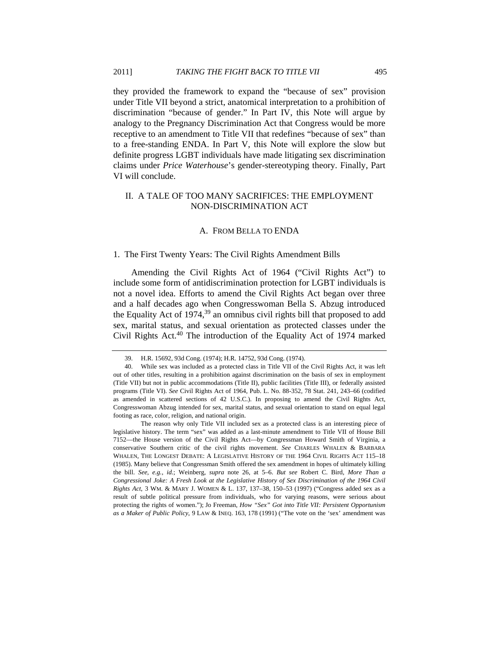they provided the framework to expand the "because of sex" provision under Title VII beyond a strict, anatomical interpretation to a prohibition of discrimination "because of gender." In Part IV, this Note will argue by analogy to the Pregnancy Discrimination Act that Congress would be more receptive to an amendment to Title VII that redefines "because of sex" than to a free-standing ENDA. In Part V, this Note will explore the slow but definite progress LGBT individuals have made litigating sex discrimination claims under *Price Waterhouse*'s gender-stereotyping theory. Finally, Part VI will conclude.

## II. A TALE OF TOO MANY SACRIFICES: THE EMPLOYMENT NON-DISCRIMINATION ACT

#### A. FROM BELLA TO ENDA

#### 1. The First Twenty Years: The Civil Rights Amendment Bills

Amending the Civil Rights Act of 1964 ("Civil Rights Act") to include some form of antidiscrimination protection for LGBT individuals is not a novel idea. Efforts to amend the Civil Rights Act began over three and a half decades ago when Congresswoman Bella S. Abzug introduced the Equality Act of  $1974<sup>39</sup>$  an omnibus civil rights bill that proposed to add sex, marital status, and sexual orientation as protected classes under the Civil Rights Act.<sup>40</sup> The introduction of the Equality Act of 1974 marked

 The reason why only Title VII included sex as a protected class is an interesting piece of legislative history. The term "sex" was added as a last-minute amendment to Title VII of House Bill 7152—the House version of the Civil Rights Act—by Congressman Howard Smith of Virginia, a conservative Southern critic of the civil rights movement. *See* CHARLES WHALEN & BARBARA WHALEN, THE LONGEST DEBATE: A LEGISLATIVE HISTORY OF THE 1964 CIVIL RIGHTS ACT 115–18 (1985). Many believe that Congressman Smith offered the sex amendment in hopes of ultimately killing the bill. *See, e.g.*, *id.*; Weinberg, *supra* note 26, at 5–6. *But see* Robert C. Bird, *More Than a Congressional Joke: A Fresh Look at the Legislative History of Sex Discrimination of the 1964 Civil Rights Act*, 3 WM. & MARY J. WOMEN & L. 137, 137–38, 150–53 (1997) ("Congress added sex as a result of subtle political pressure from individuals, who for varying reasons, were serious about protecting the rights of women."); Jo Freeman, *How "Sex" Got into Title VII: Persistent Opportunism as a Maker of Public Policy*, 9 LAW & INEQ. 163, 178 (1991) ("The vote on the 'sex' amendment was

 <sup>39.</sup> H.R. 15692, 93d Cong. (1974); H.R. 14752, 93d Cong. (1974).

 <sup>40.</sup> While sex was included as a protected class in Title VII of the Civil Rights Act, it was left out of other titles, resulting in a prohibition against discrimination on the basis of sex in employment (Title VII) but not in public accommodations (Title II), public facilities (Title III), or federally assisted programs (Title VI). *See* Civil Rights Act of 1964, Pub. L. No. 88-352, 78 Stat. 241, 243–66 (codified as amended in scattered sections of 42 U.S.C.). In proposing to amend the Civil Rights Act, Congresswoman Abzug intended for sex, marital status, and sexual orientation to stand on equal legal footing as race, color, religion, and national origin.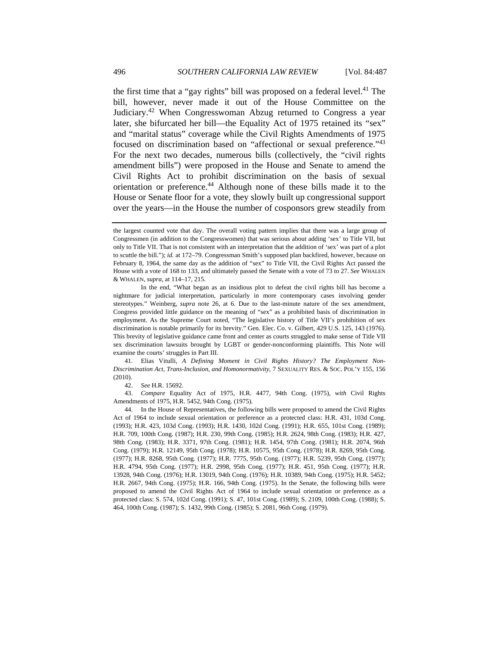the first time that a "gay rights" bill was proposed on a federal level.<sup>41</sup> The bill, however, never made it out of the House Committee on the Judiciary.42 When Congresswoman Abzug returned to Congress a year later, she bifurcated her bill—the Equality Act of 1975 retained its "sex" and "marital status" coverage while the Civil Rights Amendments of 1975 focused on discrimination based on "affectional or sexual preference."43 For the next two decades, numerous bills (collectively, the "civil rights amendment bills") were proposed in the House and Senate to amend the Civil Rights Act to prohibit discrimination on the basis of sexual orientation or preference.44 Although none of these bills made it to the House or Senate floor for a vote, they slowly built up congressional support over the years—in the House the number of cosponsors grew steadily from

 In the end, "What began as an insidious plot to defeat the civil rights bill has become a nightmare for judicial interpretation, particularly in more contemporary cases involving gender stereotypes." Weinberg, *supra* note 26, at 6. Due to the last-minute nature of the sex amendment, Congress provided little guidance on the meaning of "sex" as a prohibited basis of discrimination in employment. As the Supreme Court noted, "The legislative history of Title VII's prohibition of sex discrimination is notable primarily for its brevity." Gen. Elec. Co. v. Gilbert, 429 U.S. 125, 143 (1976). This brevity of legislative guidance came front and center as courts struggled to make sense of Title VII sex discrimination lawsuits brought by LGBT or gender-nonconforming plaintiffs. This Note will examine the courts' struggles in Part III.

 41. Elias Vitulli, *A Defining Moment in Civil Rights History? The Employment Non-Discrimination Act, Trans-Inclusion, and Homonormativity*, 7 SEXUALITY RES. & SOC. POL'Y 155, 156 (2010).

42. *See* H.R. 15692.

43. *Compare* Equality Act of 1975, H.R. 4477, 94th Cong. (1975), *with* Civil Rights Amendments of 1975, H.R. 5452, 94th Cong. (1975).

 44. In the House of Representatives, the following bills were proposed to amend the Civil Rights Act of 1964 to include sexual orientation or preference as a protected class: H.R. 431, 103d Cong. (1993); H.R. 423, 103d Cong. (1993); H.R. 1430, 102d Cong. (1991); H.R. 655, 101st Cong. (1989); H.R. 709, 100th Cong. (1987); H.R. 230, 99th Cong. (1985); H.R. 2624, 98th Cong. (1983); H.R. 427, 98th Cong. (1983); H.R. 3371, 97th Cong. (1981); H.R. 1454, 97th Cong. (1981); H.R. 2074, 96th Cong. (1979); H.R. 12149, 95th Cong. (1978); H.R. 10575, 95th Cong. (1978); H.R. 8269, 95th Cong. (1977); H.R. 8268, 95th Cong. (1977); H.R. 7775, 95th Cong. (1977); H.R. 5239, 95th Cong. (1977); H.R. 4794, 95th Cong. (1977); H.R. 2998, 95th Cong. (1977); H.R. 451, 95th Cong. (1977); H.R. 13928, 94th Cong. (1976); H.R. 13019, 94th Cong. (1976); H.R. 10389, 94th Cong. (1975); H.R. 5452; H.R. 2667, 94th Cong. (1975); H.R. 166, 94th Cong. (1975). In the Senate, the following bills were proposed to amend the Civil Rights Act of 1964 to include sexual orientation or preference as a protected class: S. 574, 102d Cong. (1991); S. 47, 101st Cong. (1989); S. 2109, 100th Cong. (1988); S. 464, 100th Cong. (1987); S. 1432, 99th Cong. (1985); S. 2081, 96th Cong. (1979).

the largest counted vote that day. The overall voting pattern implies that there was a large group of Congressmen (in addition to the Congresswomen) that was serious about adding 'sex' to Title VII, but only to Title VII. That is not consistent with an interpretation that the addition of 'sex' was part of a plot to scuttle the bill."); *id.* at 172–79. Congressman Smith's supposed plan backfired, however, because on February 8, 1964, the same day as the addition of "sex" to Title VII, the Civil Rights Act passed the House with a vote of 168 to 133, and ultimately passed the Senate with a vote of 73 to 27. *See* WHALEN & WHALEN, *supra*, at 114–17, 215.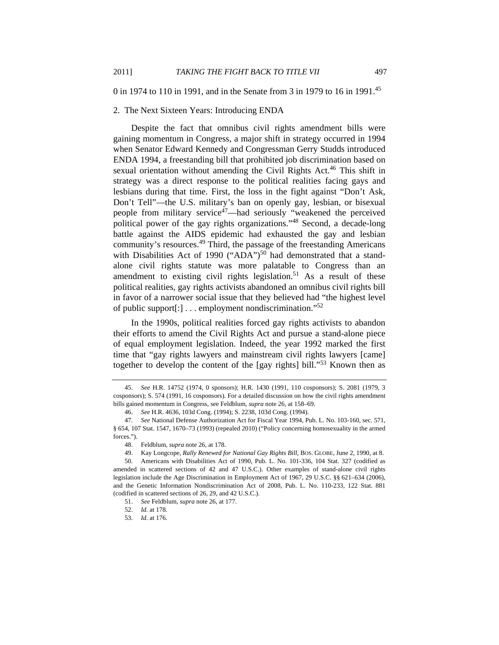0 in 1974 to 110 in 1991, and in the Senate from 3 in 1979 to 16 in 1991.45

#### 2. The Next Sixteen Years: Introducing ENDA

Despite the fact that omnibus civil rights amendment bills were gaining momentum in Congress, a major shift in strategy occurred in 1994 when Senator Edward Kennedy and Congressman Gerry Studds introduced ENDA 1994, a freestanding bill that prohibited job discrimination based on sexual orientation without amending the Civil Rights Act.<sup>46</sup> This shift in strategy was a direct response to the political realities facing gays and lesbians during that time. First, the loss in the fight against "Don't Ask, Don't Tell"—the U.S. military's ban on openly gay, lesbian, or bisexual people from military service47—had seriously "weakened the perceived political power of the gay rights organizations."<sup>48</sup> Second, a decade-long battle against the AIDS epidemic had exhausted the gay and lesbian community's resources.49 Third, the passage of the freestanding Americans with Disabilities Act of 1990 ("ADA")<sup>50</sup> had demonstrated that a standalone civil rights statute was more palatable to Congress than an amendment to existing civil rights legislation.<sup>51</sup> As a result of these political realities, gay rights activists abandoned an omnibus civil rights bill in favor of a narrower social issue that they believed had "the highest level of public support[:] . . . employment nondiscrimination."52

In the 1990s, political realities forced gay rights activists to abandon their efforts to amend the Civil Rights Act and pursue a stand-alone piece of equal employment legislation. Indeed, the year 1992 marked the first time that "gay rights lawyers and mainstream civil rights lawyers [came] together to develop the content of the [gay rights] bill."<sup>53</sup> Known then as

<sup>45.</sup> *See* H.R. 14752 (1974, 0 sponsors); H.R. 1430 (1991, 110 cosponsors); S. 2081 (1979, 3 cosponsors); S. 574 (1991, 16 cosponsors). For a detailed discussion on how the civil rights amendment bills gained momentum in Congress, see Feldblum, *supra* note 26, at 158–69.

<sup>46.</sup> *See* H.R. 4636, 103d Cong. (1994); S. 2238, 103d Cong. (1994).

<sup>47.</sup> *See* National Defense Authorization Act for Fiscal Year 1994, Pub. L. No. 103-160, sec. 571, § 654, 107 Stat. 1547, 1670–73 (1993) (repealed 2010) ("Policy concerning homosexuality in the armed forces.").

 <sup>48.</sup> Feldblum, *supra* note 26, at 178.

 <sup>49.</sup> Kay Longcope, *Rally Renewed for National Gay Rights Bill*, BOS. GLOBE, June 2, 1990, at 8.

 <sup>50.</sup> Americans with Disabilities Act of 1990, Pub. L. No. 101-336, 104 Stat. 327 (codified as amended in scattered sections of 42 and 47 U.S.C.). Other examples of stand-alone civil rights legislation include the Age Discrimination in Employment Act of 1967, 29 U.S.C. §§ 621–634 (2006), and the Genetic Information Nondiscrimination Act of 2008, Pub. L. No. 110-233, 122 Stat. 881 (codified in scattered sections of 26, 29, and 42 U.S.C.).

 <sup>51.</sup> *See* Feldblum, *supra* note 26, at 177.

<sup>52.</sup> *Id.* at 178.

<sup>53.</sup> *Id.* at 176.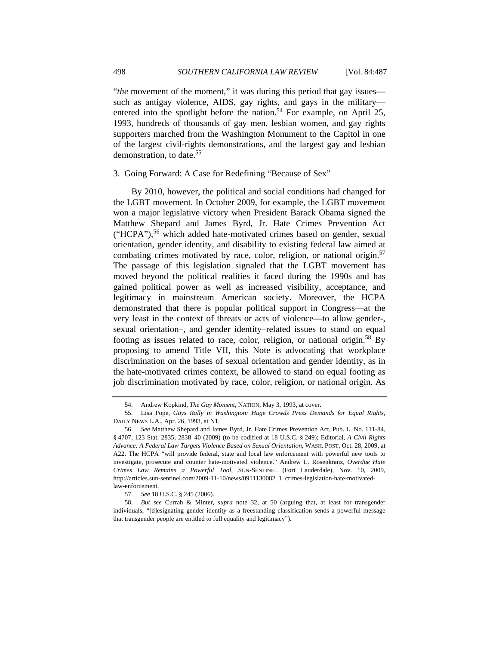"*the* movement of the moment," it was during this period that gay issues such as antigay violence, AIDS, gay rights, and gays in the military entered into the spotlight before the nation.<sup>54</sup> For example, on April 25, 1993, hundreds of thousands of gay men, lesbian women, and gay rights supporters marched from the Washington Monument to the Capitol in one of the largest civil-rights demonstrations, and the largest gay and lesbian demonstration, to date.<sup>55</sup>

#### 3. Going Forward: A Case for Redefining "Because of Sex"

By 2010, however, the political and social conditions had changed for the LGBT movement. In October 2009, for example, the LGBT movement won a major legislative victory when President Barack Obama signed the Matthew Shepard and James Byrd, Jr. Hate Crimes Prevention Act  $("HCPA")$ ,  $^{56}$  which added hate-motivated crimes based on gender, sexual orientation, gender identity, and disability to existing federal law aimed at combating crimes motivated by race, color, religion, or national origin.<sup>57</sup> The passage of this legislation signaled that the LGBT movement has moved beyond the political realities it faced during the 1990s and has gained political power as well as increased visibility, acceptance, and legitimacy in mainstream American society. Moreover, the HCPA demonstrated that there is popular political support in Congress—at the very least in the context of threats or acts of violence—to allow gender-, sexual orientation–, and gender identity–related issues to stand on equal footing as issues related to race, color, religion, or national origin.<sup>58</sup> By proposing to amend Title VII, this Note is advocating that workplace discrimination on the bases of sexual orientation and gender identity, as in the hate-motivated crimes context, be allowed to stand on equal footing as job discrimination motivated by race, color, religion, or national origin. As

<sup>54.</sup> Andrew Kopkind, *The Gay Moment*, NATION, May 3, 1993, at cover.

 <sup>55.</sup> Lisa Pope, *Gays Rally in Washington: Huge Crowds Press Demands for Equal Rights*, DAILY NEWS L.A., Apr. 26, 1993, at N1.

<sup>56.</sup> *See* Matthew Shepard and James Byrd, Jr. Hate Crimes Prevention Act, Pub. L. No. 111-84, § 4707, 123 Stat. 2835, 2838–40 (2009) (to be codified at 18 U.S.C. § 249); Editorial, *A Civil Rights Advance: A Federal Law Targets Violence Based on Sexual Orientation*, WASH. POST, Oct. 28, 2009, at A22. The HCPA "will provide federal, state and local law enforcement with powerful new tools to investigate, prosecute and counter hate-motivated violence." Andrew L. Rosenkranz, *Overdue Hate Crimes Law Remains a Powerful Tool*, SUN-SENTINEL (Fort Lauderdale), Nov. 10, 2009, http://articles.sun-sentinel.com/2009-11-10/news/0911130082\_1\_crimes-legislation-hate-motivatedlaw-enforcement.

 <sup>57.</sup> *See* 18 U.S.C. § 245 (2006).

 <sup>58.</sup> *But see* Currah & Minter, *supra* note 32, at 50 (arguing that, at least for transgender individuals, "[d]esignating gender identity as a freestanding classification sends a powerful message that transgender people are entitled to full equality and legitimacy").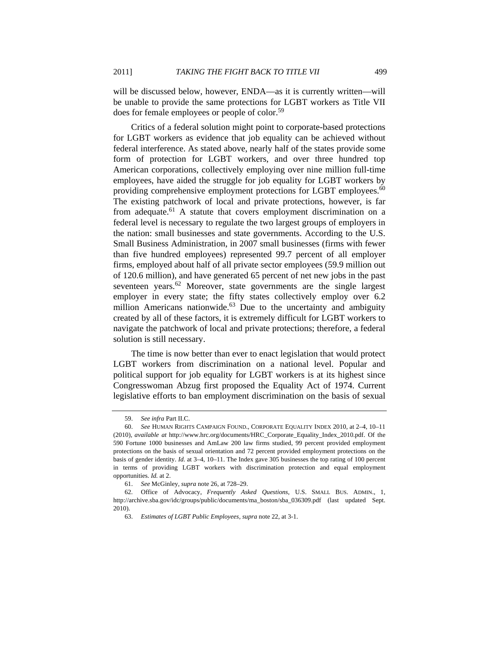will be discussed below, however, ENDA—as it is currently written—will be unable to provide the same protections for LGBT workers as Title VII does for female employees or people of color.59

Critics of a federal solution might point to corporate-based protections for LGBT workers as evidence that job equality can be achieved without federal interference. As stated above, nearly half of the states provide some form of protection for LGBT workers, and over three hundred top American corporations, collectively employing over nine million full-time employees, have aided the struggle for job equality for LGBT workers by providing comprehensive employment protections for LGBT employees.<sup>60</sup> The existing patchwork of local and private protections, however, is far from adequate. $61$  A statute that covers employment discrimination on a federal level is necessary to regulate the two largest groups of employers in the nation: small businesses and state governments. According to the U.S. Small Business Administration, in 2007 small businesses (firms with fewer than five hundred employees) represented 99.7 percent of all employer firms, employed about half of all private sector employees (59.9 million out of 120.6 million), and have generated 65 percent of net new jobs in the past seventeen years. $62$  Moreover, state governments are the single largest employer in every state; the fifty states collectively employ over 6.2 million Americans nationwide. $63$  Due to the uncertainty and ambiguity created by all of these factors, it is extremely difficult for LGBT workers to navigate the patchwork of local and private protections; therefore, a federal solution is still necessary.

The time is now better than ever to enact legislation that would protect LGBT workers from discrimination on a national level. Popular and political support for job equality for LGBT workers is at its highest since Congresswoman Abzug first proposed the Equality Act of 1974. Current legislative efforts to ban employment discrimination on the basis of sexual

<sup>59.</sup> *See infra* Part II.C.

<sup>60.</sup> *See* HUMAN RIGHTS CAMPAIGN FOUND., CORPORATE EQUALITY INDEX 2010, at 2–4, 10–11 (2010), *available at* http://www.hrc.org/documents/HRC\_Corporate\_Equality\_Index\_2010.pdf. Of the 590 Fortune 1000 businesses and AmLaw 200 law firms studied, 99 percent provided employment protections on the basis of sexual orientation and 72 percent provided employment protections on the basis of gender identity. *Id.* at 3–4, 10–11. The Index gave 305 businesses the top rating of 100 percent in terms of providing LGBT workers with discrimination protection and equal employment opportunities. *Id.* at 2.

 <sup>61.</sup> *See* McGinley, *supra* note 26, at 728–29.

 <sup>62.</sup> Office of Advocacy, *Frequently Asked Questions*, U.S. SMALL BUS. ADMIN., 1, http://archive.sba.gov/idc/groups/public/documents/ma\_boston/sba\_036309.pdf (last updated Sept. 2010).

 <sup>63.</sup> *Estimates of LGBT Public Employees*, *supra* note 22, at 3-1.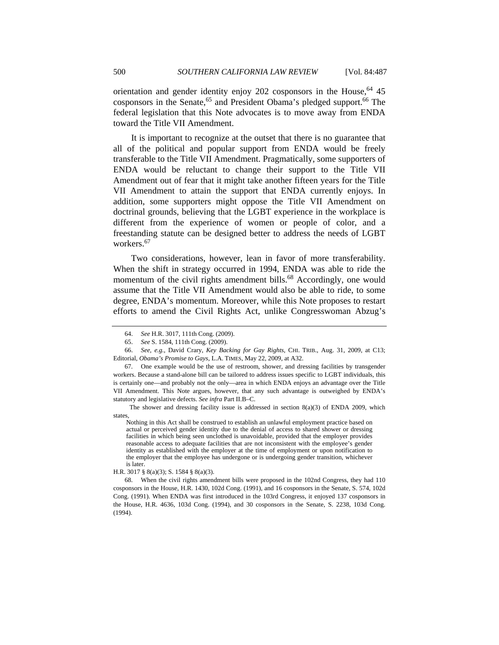orientation and gender identity enjoy 202 cosponsors in the House.<sup>64</sup> 45 cosponsors in the Senate,<sup>65</sup> and President Obama's pledged support.<sup>66</sup> The federal legislation that this Note advocates is to move away from ENDA toward the Title VII Amendment.

It is important to recognize at the outset that there is no guarantee that all of the political and popular support from ENDA would be freely transferable to the Title VII Amendment. Pragmatically, some supporters of ENDA would be reluctant to change their support to the Title VII Amendment out of fear that it might take another fifteen years for the Title VII Amendment to attain the support that ENDA currently enjoys. In addition, some supporters might oppose the Title VII Amendment on doctrinal grounds, believing that the LGBT experience in the workplace is different from the experience of women or people of color, and a freestanding statute can be designed better to address the needs of LGBT workers.<sup>67</sup>

Two considerations, however, lean in favor of more transferability. When the shift in strategy occurred in 1994, ENDA was able to ride the momentum of the civil rights amendment bills.<sup>68</sup> Accordingly, one would assume that the Title VII Amendment would also be able to ride, to some degree, ENDA's momentum. Moreover, while this Note proposes to restart efforts to amend the Civil Rights Act, unlike Congresswoman Abzug's

The shower and dressing facility issue is addressed in section  $8(a)(3)$  of ENDA 2009, which states,

Nothing in this Act shall be construed to establish an unlawful employment practice based on actual or perceived gender identity due to the denial of access to shared shower or dressing facilities in which being seen unclothed is unavoidable, provided that the employer provides reasonable access to adequate facilities that are not inconsistent with the employee's gender identity as established with the employer at the time of employment or upon notification to the employer that the employee has undergone or is undergoing gender transition, whichever is later.

H.R. 3017 § 8(a)(3); S. 1584 § 8(a)(3).

 68. When the civil rights amendment bills were proposed in the 102nd Congress, they had 110 cosponsors in the House, H.R. 1430, 102d Cong. (1991), and 16 cosponsors in the Senate, S. 574, 102d Cong. (1991). When ENDA was first introduced in the 103rd Congress, it enjoyed 137 cosponsors in the House, H.R. 4636, 103d Cong. (1994), and 30 cosponsors in the Senate, S. 2238, 103d Cong. (1994).

<sup>64.</sup> *See* H.R. 3017, 111th Cong. (2009).

<sup>65.</sup> *See* S. 1584, 111th Cong. (2009).

 <sup>66.</sup> *See, e.g.*, David Crary, *Key Backing for Gay Rights*, CHI. TRIB., Aug. 31, 2009, at C13; Editorial, *Obama's Promise to Gays*, L.A. TIMES, May 22, 2009, at A32.

 <sup>67.</sup> One example would be the use of restroom, shower, and dressing facilities by transgender workers. Because a stand-alone bill can be tailored to address issues specific to LGBT individuals, this is certainly one—and probably not the only—area in which ENDA enjoys an advantage over the Title VII Amendment. This Note argues, however, that any such advantage is outweighed by ENDA's statutory and legislative defects. *See infra* Part II.B–C.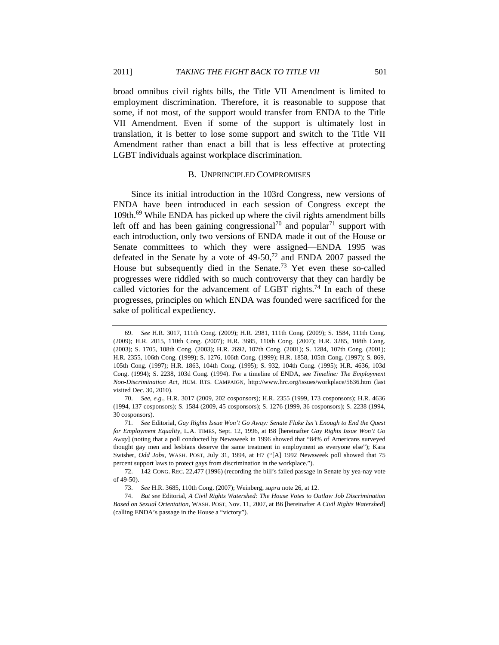broad omnibus civil rights bills, the Title VII Amendment is limited to employment discrimination. Therefore, it is reasonable to suppose that some, if not most, of the support would transfer from ENDA to the Title VII Amendment. Even if some of the support is ultimately lost in translation, it is better to lose some support and switch to the Title VII Amendment rather than enact a bill that is less effective at protecting LGBT individuals against workplace discrimination.

#### B. UNPRINCIPLED COMPROMISES

Since its initial introduction in the 103rd Congress, new versions of ENDA have been introduced in each session of Congress except the 109th.69 While ENDA has picked up where the civil rights amendment bills left off and has been gaining congressional<sup>70</sup> and popular<sup>71</sup> support with each introduction, only two versions of ENDA made it out of the House or Senate committees to which they were assigned—ENDA 1995 was defeated in the Senate by a vote of 49-50,72 and ENDA 2007 passed the House but subsequently died in the Senate.<sup>73</sup> Yet even these so-called progresses were riddled with so much controversy that they can hardly be called victories for the advancement of LGBT rights.<sup>74</sup> In each of these progresses, principles on which ENDA was founded were sacrificed for the sake of political expediency.

<sup>69.</sup> *See* H.R. 3017, 111th Cong. (2009); H.R. 2981, 111th Cong. (2009); S. 1584, 111th Cong. (2009); H.R. 2015, 110th Cong. (2007); H.R. 3685, 110th Cong. (2007); H.R. 3285, 108th Cong. (2003); S. 1705, 108th Cong. (2003); H.R. 2692, 107th Cong. (2001); S. 1284, 107th Cong. (2001); H.R. 2355, 106th Cong. (1999); S. 1276, 106th Cong. (1999); H.R. 1858, 105th Cong. (1997); S. 869, 105th Cong. (1997); H.R. 1863, 104th Cong. (1995); S. 932, 104th Cong. (1995); H.R. 4636, 103d Cong. (1994); S. 2238, 103d Cong. (1994). For a timeline of ENDA, see *Timeline: The Employment Non-Discrimination Act*, HUM. RTS. CAMPAIGN, http://www.hrc.org/issues/workplace/5636.htm (last visited Dec. 30, 2010).

<sup>70.</sup> *See, e.g.*, H.R. 3017 (2009, 202 cosponsors); H.R. 2355 (1999, 173 cosponsors); H.R. 4636 (1994, 137 cosponsors); S. 1584 (2009, 45 cosponsors); S. 1276 (1999, 36 cosponsors); S. 2238 (1994, 30 cosponsors).

<sup>71.</sup> *See* Editorial, *Gay Rights Issue Won't Go Away: Senate Fluke Isn't Enough to End the Quest for Employment Equality*, L.A. TIMES, Sept. 12, 1996, at B8 [hereinafter *Gay Rights Issue Won't Go Away*] (noting that a poll conducted by Newsweek in 1996 showed that "84% of Americans surveyed thought gay men and lesbians deserve the same treatment in employment as everyone else"); Kara Swisher, *Odd Jobs*, WASH. POST, July 31, 1994, at H7 ("[A] 1992 Newsweek poll showed that 75 percent support laws to protect gays from discrimination in the workplace.").

 <sup>72. 142</sup> CONG. REC. 22,477 (1996) (recording the bill's failed passage in Senate by yea-nay vote of 49-50).

 <sup>73.</sup> *See* H.R. 3685, 110th Cong. (2007); Weinberg, *supra* note 26, at 12.

<sup>74.</sup> *But see* Editorial, *A Civil Rights Watershed: The House Votes to Outlaw Job Discrimination Based on Sexual Orientation*, WASH. POST, Nov. 11, 2007, at B6 [hereinafter *A Civil Rights Watershed*] (calling ENDA's passage in the House a "victory").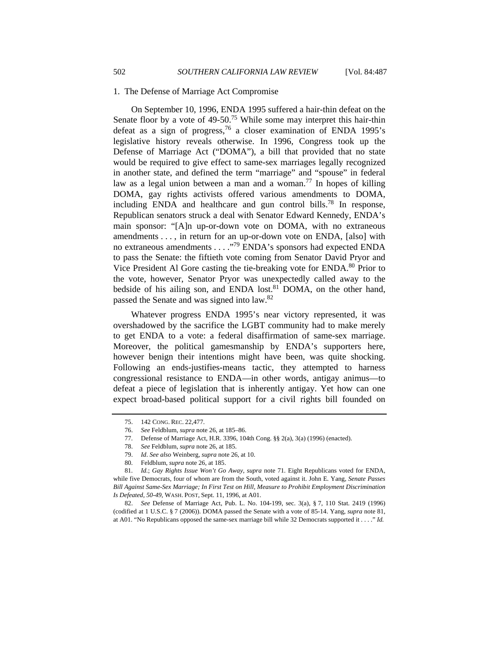#### 1. The Defense of Marriage Act Compromise

On September 10, 1996, ENDA 1995 suffered a hair-thin defeat on the Senate floor by a vote of 49-50.<sup>75</sup> While some may interpret this hair-thin defeat as a sign of progress,  $76$  a closer examination of ENDA 1995's legislative history reveals otherwise. In 1996, Congress took up the Defense of Marriage Act ("DOMA"), a bill that provided that no state would be required to give effect to same-sex marriages legally recognized in another state, and defined the term "marriage" and "spouse" in federal law as a legal union between a man and a woman.<sup>77</sup> In hopes of killing DOMA, gay rights activists offered various amendments to DOMA, including ENDA and healthcare and gun control bills.<sup>78</sup> In response, Republican senators struck a deal with Senator Edward Kennedy, ENDA's main sponsor: "[A]n up-or-down vote on DOMA, with no extraneous amendments . . . , in return for an up-or-down vote on ENDA, [also] with no extraneous amendments . . . ."79 ENDA's sponsors had expected ENDA to pass the Senate: the fiftieth vote coming from Senator David Pryor and Vice President Al Gore casting the tie-breaking vote for ENDA.<sup>80</sup> Prior to the vote, however, Senator Pryor was unexpectedly called away to the bedside of his ailing son, and ENDA lost.<sup>81</sup> DOMA, on the other hand, passed the Senate and was signed into law.82

Whatever progress ENDA 1995's near victory represented, it was overshadowed by the sacrifice the LGBT community had to make merely to get ENDA to a vote: a federal disaffirmation of same-sex marriage. Moreover, the political gamesmanship by ENDA's supporters here, however benign their intentions might have been, was quite shocking. Following an ends-justifies-means tactic, they attempted to harness congressional resistance to ENDA—in other words, antigay animus—to defeat a piece of legislation that is inherently antigay. Yet how can one expect broad-based political support for a civil rights bill founded on

80. Feldblum, *supra* note 26, at 185.

 <sup>75. 142</sup> CONG. REC. 22,477.

 <sup>76.</sup> *See* Feldblum, *supra* note 26, at 185–86.

 <sup>77.</sup> Defense of Marriage Act, H.R. 3396, 104th Cong. §§ 2(a), 3(a) (1996) (enacted).

 <sup>78.</sup> *See* Feldblum, *supra* note 26, at 185.

 <sup>79.</sup> *Id*. *See also* Weinberg, *supra* note 26, at 10.

<sup>81.</sup> *Id.*; *Gay Rights Issue Won't Go Away*, *supra* note 71. Eight Republicans voted for ENDA, while five Democrats, four of whom are from the South, voted against it. John E. Yang, *Senate Passes Bill Against Same-Sex Marriage; In First Test on Hill, Measure to Prohibit Employment Discrimination Is Defeated, 50-49*, WASH. POST, Sept. 11, 1996, at A01.

<sup>82.</sup> *See* Defense of Marriage Act, Pub. L. No. 104-199, sec. 3(a), § 7, 110 Stat. 2419 (1996) (codified at 1 U.S.C. § 7 (2006)). DOMA passed the Senate with a vote of 85-14. Yang, *supra* note 81, at A01. "No Republicans opposed the same-sex marriage bill while 32 Democrats supported it . . . ." *Id.*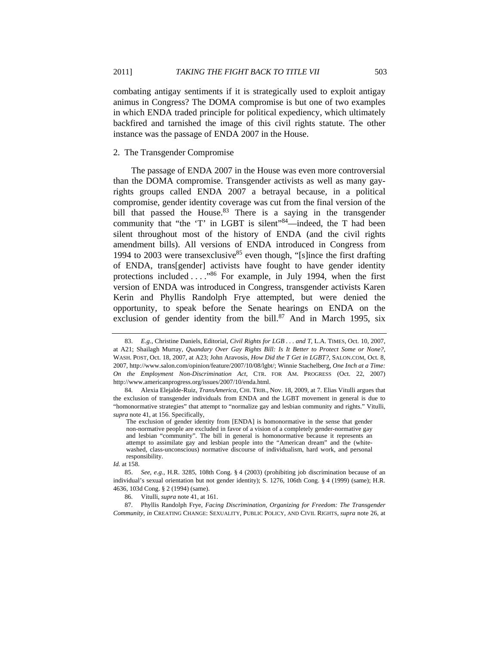combating antigay sentiments if it is strategically used to exploit antigay animus in Congress? The DOMA compromise is but one of two examples in which ENDA traded principle for political expediency, which ultimately backfired and tarnished the image of this civil rights statute. The other instance was the passage of ENDA 2007 in the House.

## 2. The Transgender Compromise

The passage of ENDA 2007 in the House was even more controversial than the DOMA compromise. Transgender activists as well as many gayrights groups called ENDA 2007 a betrayal because, in a political compromise, gender identity coverage was cut from the final version of the bill that passed the House.<sup>83</sup> There is a saying in the transgender community that "the 'T' in LGBT is silent"<sup>84</sup>—indeed, the T had been silent throughout most of the history of ENDA (and the civil rights amendment bills). All versions of ENDA introduced in Congress from 1994 to 2003 were transexclusive<sup>85</sup> even though, "[s]ince the first drafting of ENDA, trans[gender] activists have fought to have gender identity protections included . . . ."86 For example, in July 1994, when the first version of ENDA was introduced in Congress, transgender activists Karen Kerin and Phyllis Randolph Frye attempted, but were denied the opportunity, to speak before the Senate hearings on ENDA on the exclusion of gender identity from the bill. $87$  And in March 1995, six

<sup>83.</sup> *E.g.*, Christine Daniels, Editorial, *Civil Rights for LGB . . . and T*, L.A. TIMES, Oct. 10, 2007, at A21; Shailagh Murray, *Quandary Over Gay Rights Bill: Is It Better to Protect Some or None?*, WASH. POST, Oct. 18, 2007, at A23; John Aravosis, *How Did the T Get in LGBT?*, SALON.COM, Oct. 8, 2007, http://www.salon.com/opinion/feature/2007/10/08/lgbt/; Winnie Stachelberg, *One Inch at a Time: On the Employment Non-Discrimination Act*, CTR. FOR AM. PROGRESS (Oct. 22, 2007) http://www.americanprogress.org/issues/2007/10/enda.html.

 <sup>84.</sup> Alexia Elejalde-Ruiz, *TransAmerica*, CHI. TRIB., Nov. 18, 2009, at 7. Elias Vitulli argues that the exclusion of transgender individuals from ENDA and the LGBT movement in general is due to "homonormative strategies" that attempt to "normalize gay and lesbian community and rights." Vitulli, *supra* note 41, at 156. Specifically,

The exclusion of gender identity from [ENDA] is homonormative in the sense that gender non-normative people are excluded in favor of a vision of a completely gender-normative gay and lesbian "community". The bill in general is homonormative because it represents an attempt to assimilate gay and lesbian people into the "American dream" and the (whitewashed, class-unconscious) normative discourse of individualism, hard work, and personal responsibility.

*Id.* at 158.

<sup>85.</sup> *See, e.g.*, H.R. 3285, 108th Cong. § 4 (2003) (prohibiting job discrimination because of an individual's sexual orientation but not gender identity); S. 1276, 106th Cong. § 4 (1999) (same); H.R. 4636, 103d Cong. § 2 (1994) (same).

 <sup>86.</sup> Vitulli, *supra* note 41, at 161.

 <sup>87.</sup> Phyllis Randolph Frye, *Facing Discrimination, Organizing for Freedom: The Transgender Community*, *in* CREATING CHANGE: SEXUALITY, PUBLIC POLICY, AND CIVIL RIGHTS, *supra* note 26, at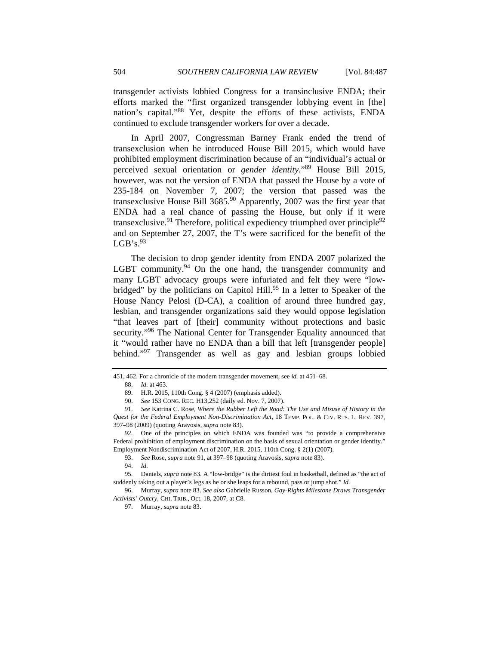transgender activists lobbied Congress for a transinclusive ENDA; their efforts marked the "first organized transgender lobbying event in [the] nation's capital."88 Yet, despite the efforts of these activists, ENDA continued to exclude transgender workers for over a decade.

In April 2007, Congressman Barney Frank ended the trend of transexclusion when he introduced House Bill 2015, which would have prohibited employment discrimination because of an "individual's actual or perceived sexual orientation or *gender identity*."89 House Bill 2015, however, was not the version of ENDA that passed the House by a vote of 235-184 on November 7, 2007; the version that passed was the transexclusive House Bill  $3685<sup>90</sup>$  Apparently, 2007 was the first year that ENDA had a real chance of passing the House, but only if it were transexclusive.<sup>91</sup> Therefore, political expediency triumphed over principle<sup>92</sup> and on September 27, 2007, the T's were sacrificed for the benefit of the  $LGB's.^{93}$ 

The decision to drop gender identity from ENDA 2007 polarized the LGBT community.<sup>94</sup> On the one hand, the transgender community and many LGBT advocacy groups were infuriated and felt they were "lowbridged" by the politicians on Capitol Hill.<sup>95</sup> In a letter to Speaker of the House Nancy Pelosi (D-CA), a coalition of around three hundred gay, lesbian, and transgender organizations said they would oppose legislation "that leaves part of [their] community without protections and basic security."<sup>96</sup> The National Center for Transgender Equality announced that it "would rather have no ENDA than a bill that left [transgender people] behind."97 Transgender as well as gay and lesbian groups lobbied

93. *See* Rose, *supra* note 91, at 397–98 (quoting Aravosis, *supra* note 83).

 95. Daniels, *supra* note 83. A "low-bridge" is the dirtiest foul in basketball, defined as "the act of suddenly taking out a player's legs as he or she leaps for a rebound, pass or jump shot." *Id.*

 96. Murray, *supra* note 83. *See also* Gabrielle Russon, *Gay-Rights Milestone Draws Transgender Activists' Outcry*, CHI. TRIB., Oct. 18, 2007, at C8.

<sup>451, 462.</sup> For a chronicle of the modern transgender movement, see *id.* at 451–68.

<sup>88.</sup> *Id.* at 463.

 <sup>89.</sup> H.R. 2015, 110th Cong. § 4 (2007) (emphasis added).

<sup>90.</sup> *See* 153 CONG. REC. H13,252 (daily ed. Nov. 7, 2007).

<sup>91.</sup> *See* Katrina C. Rose, *Where the Rubber Left the Road: The Use and Misuse of History in the Quest for the Federal Employment Non-Discrimination Act*, 18 TEMP. POL. & CIV. RTS. L. REV. 397, 397–98 (2009) (quoting Aravosis, *supra* note 83).

 <sup>92.</sup> One of the principles on which ENDA was founded was "to provide a comprehensive Federal prohibition of employment discrimination on the basis of sexual orientation or gender identity." Employment Nondiscrimination Act of 2007, H.R. 2015, 110th Cong. § 2(1) (2007).

<sup>94.</sup> *Id.*

 <sup>97.</sup> Murray, *supra* note 83.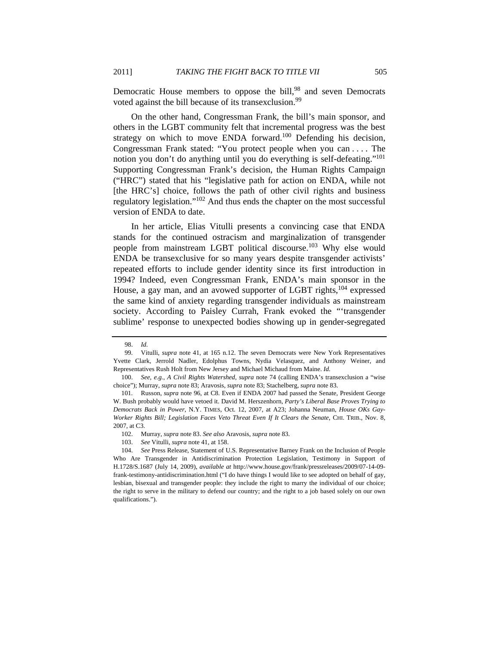Democratic House members to oppose the bill,<sup>98</sup> and seven Democrats voted against the bill because of its transexclusion.<sup>99</sup>

On the other hand, Congressman Frank, the bill's main sponsor, and others in the LGBT community felt that incremental progress was the best strategy on which to move ENDA forward.<sup>100</sup> Defending his decision, Congressman Frank stated: "You protect people when you can . . . . The notion you don't do anything until you do everything is self-defeating."101 Supporting Congressman Frank's decision, the Human Rights Campaign ("HRC") stated that his "legislative path for action on ENDA, while not [the HRC's] choice, follows the path of other civil rights and business regulatory legislation."102 And thus ends the chapter on the most successful version of ENDA to date.

In her article, Elias Vitulli presents a convincing case that ENDA stands for the continued ostracism and marginalization of transgender people from mainstream LGBT political discourse.<sup>103</sup> Why else would ENDA be transexclusive for so many years despite transgender activists' repeated efforts to include gender identity since its first introduction in 1994? Indeed, even Congressman Frank, ENDA's main sponsor in the House, a gay man, and an avowed supporter of LGBT rights, <sup>104</sup> expressed the same kind of anxiety regarding transgender individuals as mainstream society. According to Paisley Currah, Frank evoked the "'transgender sublime' response to unexpected bodies showing up in gender-segregated

<sup>98.</sup> *Id.*

 <sup>99.</sup> Vitulli, *supra* note 41, at 165 n.12. The seven Democrats were New York Representatives Yvette Clark, Jerrold Nadler, Edolphus Towns, Nydia Velasquez, and Anthony Weiner, and Representatives Rush Holt from New Jersey and Michael Michaud from Maine. *Id.*

<sup>100.</sup> *See, e.g.*, *A Civil Rights Watershed*, *supra* note 74 (calling ENDA's transexclusion a "wise choice"); Murray, *supra* note 83; Aravosis, *supra* note 83; Stachelberg, *supra* note 83.

 <sup>101.</sup> Russon, *supra* note 96, at C8. Even if ENDA 2007 had passed the Senate, President George W. Bush probably would have vetoed it. David M. Herszenhorn, *Party's Liberal Base Proves Trying to Democrats Back in Power*, N.Y. TIMES, Oct. 12, 2007, at A23; Johanna Neuman, *House OKs Gay-Worker Rights Bill; Legislation Faces Veto Threat Even If It Clears the Senate, CHI. TRIB., Nov. 8,* 2007, at C3.

 <sup>102.</sup> Murray, *supra* note 83. *See also* Aravosis, *supra* note 83.

<sup>103.</sup> *See* Vitulli, *supra* note 41, at 158.

<sup>104.</sup> *See* Press Release, Statement of U.S. Representative Barney Frank on the Inclusion of People Who Are Transgender in Antidiscrimination Protection Legislation, Testimony in Support of H.1728/S.1687 (July 14, 2009), *available at* http://www.house.gov/frank/pressreleases/2009/07-14-09 frank-testimony-antidiscrimination.html ("I do have things I would like to see adopted on behalf of gay, lesbian, bisexual and transgender people: they include the right to marry the individual of our choice; the right to serve in the military to defend our country; and the right to a job based solely on our own qualifications.").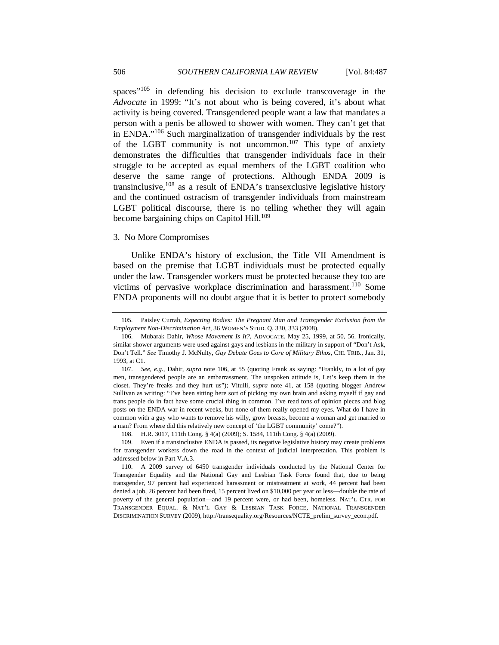spaces"<sup>105</sup> in defending his decision to exclude transcoverage in the *Advocate* in 1999: "It's not about who is being covered, it's about what activity is being covered. Transgendered people want a law that mandates a person with a penis be allowed to shower with women. They can't get that in ENDA."106 Such marginalization of transgender individuals by the rest of the LGBT community is not uncommon.<sup>107</sup> This type of anxiety demonstrates the difficulties that transgender individuals face in their struggle to be accepted as equal members of the LGBT coalition who deserve the same range of protections. Although ENDA 2009 is transinclusive, $108$  as a result of ENDA's transexclusive legislative history and the continued ostracism of transgender individuals from mainstream LGBT political discourse, there is no telling whether they will again become bargaining chips on Capitol Hill.<sup>109</sup>

## 3. No More Compromises

Unlike ENDA's history of exclusion, the Title VII Amendment is based on the premise that LGBT individuals must be protected equally under the law. Transgender workers must be protected because they too are victims of pervasive workplace discrimination and harassment.<sup>110</sup> Some ENDA proponents will no doubt argue that it is better to protect somebody

 <sup>105.</sup> Paisley Currah, *Expecting Bodies: The Pregnant Man and Transgender Exclusion from the Employment Non-Discrimination Act*, 36 WOMEN'S STUD. Q. 330, 333 (2008).

 <sup>106.</sup> Mubarak Dahir, *Whose Movement Is It?*, ADVOCATE, May 25, 1999, at 50, 56. Ironically, similar shower arguments were used against gays and lesbians in the military in support of "Don't Ask, Don't Tell." *See* Timothy J. McNulty, *Gay Debate Goes to Core of Military Ethos*, CHI. TRIB., Jan. 31, 1993, at C1.

<sup>107.</sup> *See, e.g.*, Dahir, *supra* note 106, at 55 (quoting Frank as saying: "Frankly, to a lot of gay men, transgendered people are an embarrassment. The unspoken attitude is, Let's keep them in the closet. They're freaks and they hurt us"); Vitulli, *supra* note 41, at 158 (quoting blogger Andrew Sullivan as writing: "I've been sitting here sort of picking my own brain and asking myself if gay and trans people do in fact have some crucial thing in common. I've read tons of opinion pieces and blog posts on the ENDA war in recent weeks, but none of them really opened my eyes. What do I have in common with a guy who wants to remove his willy, grow breasts, become a woman and get married to a man? From where did this relatively new concept of 'the LGBT community' come?").

 <sup>108.</sup> H.R. 3017, 111th Cong. § 4(a) (2009); S. 1584, 111th Cong. § 4(a) (2009).

 <sup>109.</sup> Even if a transinclusive ENDA is passed, its negative legislative history may create problems for transgender workers down the road in the context of judicial interpretation. This problem is addressed below in Part V.A.3.

 <sup>110.</sup> A 2009 survey of 6450 transgender individuals conducted by the National Center for Transgender Equality and the National Gay and Lesbian Task Force found that, due to being transgender, 97 percent had experienced harassment or mistreatment at work, 44 percent had been denied a job, 26 percent had been fired, 15 percent lived on \$10,000 per year or less—double the rate of poverty of the general population—and 19 percent were, or had been, homeless. NAT'L CTR. FOR TRANSGENDER EQUAL. & NAT'L GAY & LESBIAN TASK FORCE, NATIONAL TRANSGENDER DISCRIMINATION SURVEY (2009), http://transequality.org/Resources/NCTE\_prelim\_survey\_econ.pdf.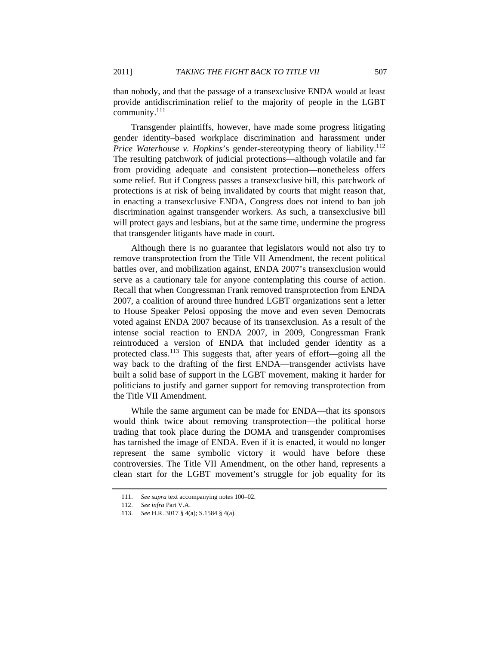than nobody, and that the passage of a transexclusive ENDA would at least provide antidiscrimination relief to the majority of people in the LGBT community.111

Transgender plaintiffs, however, have made some progress litigating gender identity–based workplace discrimination and harassment under *Price Waterhouse v. Hopkins*'s gender-stereotyping theory of liability.<sup>112</sup> The resulting patchwork of judicial protections—although volatile and far from providing adequate and consistent protection—nonetheless offers some relief. But if Congress passes a transexclusive bill, this patchwork of protections is at risk of being invalidated by courts that might reason that, in enacting a transexclusive ENDA, Congress does not intend to ban job discrimination against transgender workers. As such, a transexclusive bill will protect gays and lesbians, but at the same time, undermine the progress that transgender litigants have made in court.

Although there is no guarantee that legislators would not also try to remove transprotection from the Title VII Amendment, the recent political battles over, and mobilization against, ENDA 2007's transexclusion would serve as a cautionary tale for anyone contemplating this course of action. Recall that when Congressman Frank removed transprotection from ENDA 2007, a coalition of around three hundred LGBT organizations sent a letter to House Speaker Pelosi opposing the move and even seven Democrats voted against ENDA 2007 because of its transexclusion. As a result of the intense social reaction to ENDA 2007, in 2009, Congressman Frank reintroduced a version of ENDA that included gender identity as a protected class.<sup>113</sup> This suggests that, after years of effort—going all the way back to the drafting of the first ENDA—transgender activists have built a solid base of support in the LGBT movement, making it harder for politicians to justify and garner support for removing transprotection from the Title VII Amendment.

While the same argument can be made for ENDA—that its sponsors would think twice about removing transprotection—the political horse trading that took place during the DOMA and transgender compromises has tarnished the image of ENDA. Even if it is enacted, it would no longer represent the same symbolic victory it would have before these controversies. The Title VII Amendment, on the other hand, represents a clean start for the LGBT movement's struggle for job equality for its

<sup>111.</sup> *See supra* text accompanying notes 100–02.

<sup>112.</sup> *See infra* Part V.A.

 <sup>113.</sup> *See* H.R. 3017 § 4(a); S.1584 § 4(a).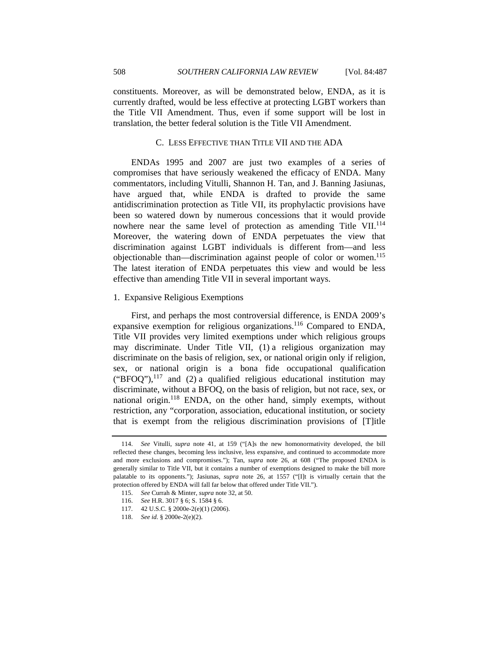currently drafted, would be less effective at protecting LGBT workers than the Title VII Amendment. Thus, even if some support will be lost in translation, the better federal solution is the Title VII Amendment.

## C. LESS EFFECTIVE THAN TITLE VII AND THE ADA

ENDAs 1995 and 2007 are just two examples of a series of compromises that have seriously weakened the efficacy of ENDA. Many commentators, including Vitulli, Shannon H. Tan, and J. Banning Jasiunas, have argued that, while ENDA is drafted to provide the same antidiscrimination protection as Title VII, its prophylactic provisions have been so watered down by numerous concessions that it would provide nowhere near the same level of protection as amending Title VII.<sup>114</sup> Moreover, the watering down of ENDA perpetuates the view that discrimination against LGBT individuals is different from—and less objectionable than—discrimination against people of color or women.<sup>115</sup> The latest iteration of ENDA perpetuates this view and would be less effective than amending Title VII in several important ways.

## 1. Expansive Religious Exemptions

First, and perhaps the most controversial difference, is ENDA 2009's expansive exemption for religious organizations.<sup>116</sup> Compared to ENDA, Title VII provides very limited exemptions under which religious groups may discriminate. Under Title VII, (1) a religious organization may discriminate on the basis of religion, sex, or national origin only if religion, sex, or national origin is a bona fide occupational qualification ("BFOQ"), $^{117}$  and (2) a qualified religious educational institution may discriminate, without a BFOQ, on the basis of religion, but not race, sex, or national origin.<sup>118</sup> ENDA, on the other hand, simply exempts, without restriction, any "corporation, association, educational institution, or society that is exempt from the religious discrimination provisions of [T]itle

<sup>114.</sup> *See* Vitulli, *supra* note 41, at 159 ("[A]s the new homonormativity developed, the bill reflected these changes, becoming less inclusive, less expansive, and continued to accommodate more and more exclusions and compromises."); Tan, *supra* note 26, at 608 ("The proposed ENDA is generally similar to Title VII, but it contains a number of exemptions designed to make the bill more palatable to its opponents."); Jasiunas, *supra* note 26, at 1557 ("[I]t is virtually certain that the protection offered by ENDA will fall far below that offered under Title VII.").

 <sup>115.</sup> *See* Currah & Minter, *supra* note 32, at 50.

 <sup>116.</sup> *See* H.R. 3017 § 6; S. 1584 § 6.

 <sup>117. 42</sup> U.S.C. § 2000e-2(e)(1) (2006).

 <sup>118.</sup> *See id.* § 2000e-2(e)(2).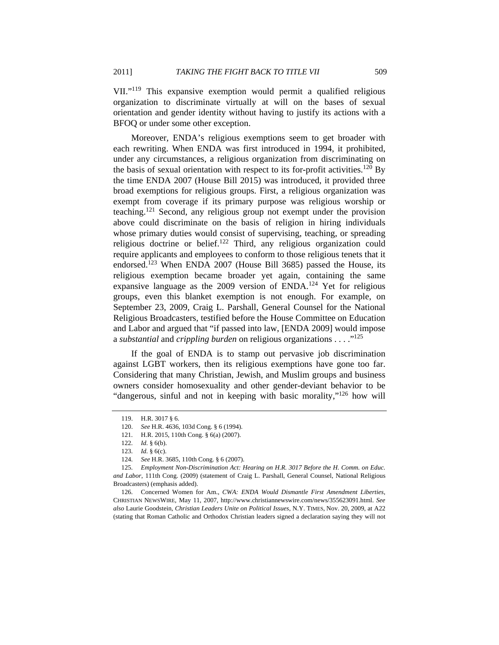VII."119 This expansive exemption would permit a qualified religious organization to discriminate virtually at will on the bases of sexual orientation and gender identity without having to justify its actions with a BFOQ or under some other exception.

Moreover, ENDA's religious exemptions seem to get broader with each rewriting. When ENDA was first introduced in 1994, it prohibited, under any circumstances, a religious organization from discriminating on the basis of sexual orientation with respect to its for-profit activities.<sup>120</sup> By the time ENDA 2007 (House Bill 2015) was introduced, it provided three broad exemptions for religious groups. First, a religious organization was exempt from coverage if its primary purpose was religious worship or teaching.121 Second, any religious group not exempt under the provision above could discriminate on the basis of religion in hiring individuals whose primary duties would consist of supervising, teaching, or spreading religious doctrine or belief.<sup>122</sup> Third, any religious organization could require applicants and employees to conform to those religious tenets that it endorsed.<sup>123</sup> When ENDA 2007 (House Bill 3685) passed the House, its religious exemption became broader yet again, containing the same expansive language as the 2009 version of ENDA.<sup>124</sup> Yet for religious groups, even this blanket exemption is not enough. For example, on September 23, 2009, Craig L. Parshall, General Counsel for the National Religious Broadcasters, testified before the House Committee on Education and Labor and argued that "if passed into law, [ENDA 2009] would impose a *substantial* and *crippling burden* on religious organizations . . . ."125

If the goal of ENDA is to stamp out pervasive job discrimination against LGBT workers, then its religious exemptions have gone too far. Considering that many Christian, Jewish, and Muslim groups and business owners consider homosexuality and other gender-deviant behavior to be "dangerous, sinful and not in keeping with basic morality,"126 how will

<sup>119.</sup> H.R. 3017 § 6.

<sup>120.</sup> *See* H.R. 4636, 103d Cong. § 6 (1994).

 <sup>121.</sup> H.R. 2015, 110th Cong. § 6(a) (2007).

 <sup>122.</sup> *Id.* § 6(b).

 <sup>123.</sup> *Id.* § 6(c).

<sup>124.</sup> *See* H.R. 3685, 110th Cong. § 6 (2007).

<sup>125.</sup> *Employment Non-Discrimination Act: Hearing on H.R. 3017 Before the H. Comm. on Educ. and Labor*, 111th Cong. (2009) (statement of Craig L. Parshall, General Counsel, National Religious Broadcasters) (emphasis added).

 <sup>126.</sup> Concerned Women for Am., *CWA: ENDA Would Dismantle First Amendment Liberties*, CHRISTIAN NEWSWIRE, May 11, 2007, http://www.christiannewswire.com/news/355623091.html. *See also* Laurie Goodstein, *Christian Leaders Unite on Political Issues*, N.Y. TIMES, Nov. 20, 2009, at A22 (stating that Roman Catholic and Orthodox Christian leaders signed a declaration saying they will not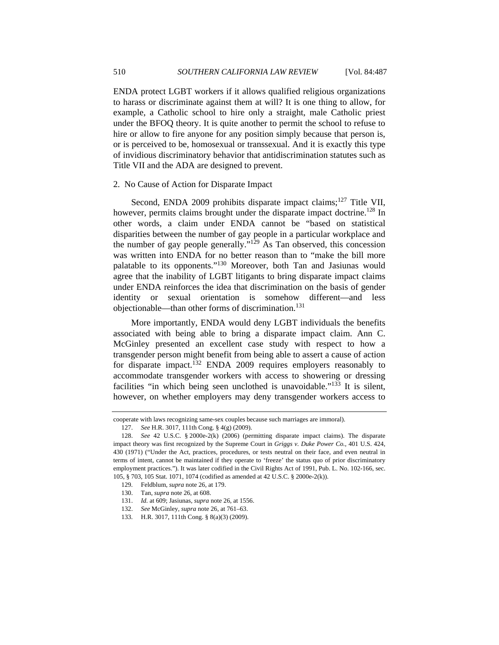ENDA protect LGBT workers if it allows qualified religious organizations to harass or discriminate against them at will? It is one thing to allow, for example, a Catholic school to hire only a straight, male Catholic priest under the BFOQ theory. It is quite another to permit the school to refuse to hire or allow to fire anyone for any position simply because that person is, or is perceived to be, homosexual or transsexual. And it is exactly this type of invidious discriminatory behavior that antidiscrimination statutes such as Title VII and the ADA are designed to prevent.

#### 2. No Cause of Action for Disparate Impact

Second, ENDA 2009 prohibits disparate impact claims;<sup>127</sup> Title VII, however, permits claims brought under the disparate impact doctrine.<sup>128</sup> In other words, a claim under ENDA cannot be "based on statistical disparities between the number of gay people in a particular workplace and the number of gay people generally."129 As Tan observed, this concession was written into ENDA for no better reason than to "make the bill more palatable to its opponents."130 Moreover, both Tan and Jasiunas would agree that the inability of LGBT litigants to bring disparate impact claims under ENDA reinforces the idea that discrimination on the basis of gender identity or sexual orientation is somehow different—and less objectionable—than other forms of discrimination.131

More importantly, ENDA would deny LGBT individuals the benefits associated with being able to bring a disparate impact claim. Ann C. McGinley presented an excellent case study with respect to how a transgender person might benefit from being able to assert a cause of action for disparate impact.<sup>132</sup> ENDA 2009 requires employers reasonably to accommodate transgender workers with access to showering or dressing facilities "in which being seen unclothed is unavoidable."133 It is silent, however, on whether employers may deny transgender workers access to

cooperate with laws recognizing same-sex couples because such marriages are immoral).

<sup>127.</sup> *See* H.R. 3017, 111th Cong. § 4(g) (2009).

 <sup>128.</sup> *See* 42 U.S.C. § 2000e-2(k) (2006) (permitting disparate impact claims). The disparate impact theory was first recognized by the Supreme Court in *Griggs v. Duke Power Co.*, 401 U.S. 424, 430 (1971) ("Under the Act, practices, procedures, or tests neutral on their face, and even neutral in terms of intent, cannot be maintained if they operate to 'freeze' the status quo of prior discriminatory employment practices."). It was later codified in the Civil Rights Act of 1991, Pub. L. No. 102-166, sec. 105, § 703, 105 Stat. 1071, 1074 (codified as amended at 42 U.S.C. § 2000e-2(k)).

 <sup>129.</sup> Feldblum, *supra* note 26, at 179.

 <sup>130.</sup> Tan, *supra* note 26, at 608.

<sup>131.</sup> *Id.* at 609; Jasiunas, *supra* note 26, at 1556.

 <sup>132.</sup> *See* McGinley, *supra* note 26, at 761–63.

 <sup>133.</sup> H.R. 3017, 111th Cong. § 8(a)(3) (2009).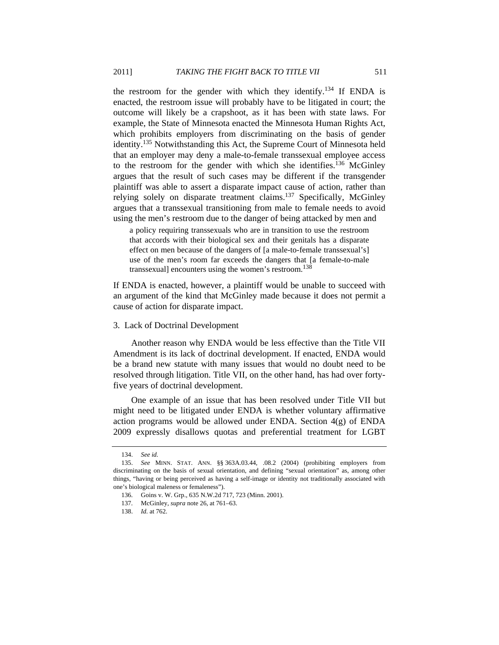the restroom for the gender with which they identify.<sup>134</sup> If ENDA is enacted, the restroom issue will probably have to be litigated in court; the outcome will likely be a crapshoot, as it has been with state laws. For example, the State of Minnesota enacted the Minnesota Human Rights Act, which prohibits employers from discriminating on the basis of gender identity.135 Notwithstanding this Act, the Supreme Court of Minnesota held that an employer may deny a male-to-female transsexual employee access to the restroom for the gender with which she identifies.<sup>136</sup> McGinley argues that the result of such cases may be different if the transgender plaintiff was able to assert a disparate impact cause of action, rather than relying solely on disparate treatment claims.<sup>137</sup> Specifically, McGinley argues that a transsexual transitioning from male to female needs to avoid using the men's restroom due to the danger of being attacked by men and

a policy requiring transsexuals who are in transition to use the restroom that accords with their biological sex and their genitals has a disparate effect on men because of the dangers of [a male-to-female transsexual's] use of the men's room far exceeds the dangers that [a female-to-male transsexual] encounters using the women's restroom.<sup>138</sup>

If ENDA is enacted, however, a plaintiff would be unable to succeed with an argument of the kind that McGinley made because it does not permit a cause of action for disparate impact.

## 3. Lack of Doctrinal Development

Another reason why ENDA would be less effective than the Title VII Amendment is its lack of doctrinal development. If enacted, ENDA would be a brand new statute with many issues that would no doubt need to be resolved through litigation. Title VII, on the other hand, has had over fortyfive years of doctrinal development.

One example of an issue that has been resolved under Title VII but might need to be litigated under ENDA is whether voluntary affirmative action programs would be allowed under ENDA. Section  $4(g)$  of ENDA 2009 expressly disallows quotas and preferential treatment for LGBT

 <sup>134.</sup> *See id.*

 <sup>135.</sup> *See* MINN. STAT. ANN. §§ 363A.03.44, .08.2 (2004) (prohibiting employers from discriminating on the basis of sexual orientation, and defining "sexual orientation" as, among other things, "having or being perceived as having a self-image or identity not traditionally associated with one's biological maleness or femaleness").

 <sup>136.</sup> Goins v. W. Grp., 635 N.W.2d 717, 723 (Minn. 2001).

 <sup>137.</sup> McGinley, *supra* note 26, at 761–63.

 <sup>138.</sup> *Id.* at 762.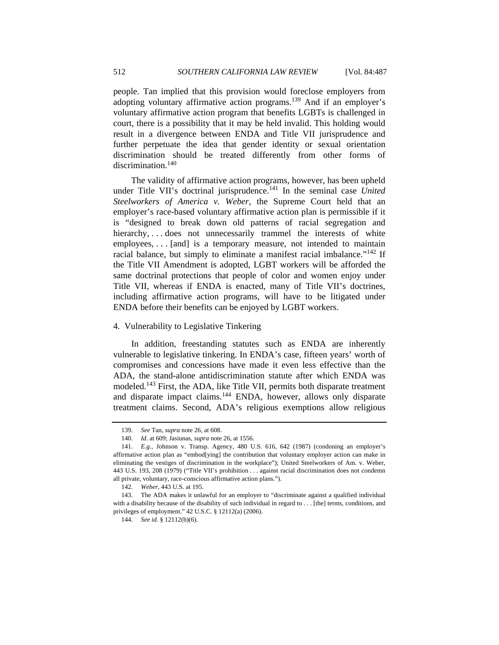people. Tan implied that this provision would foreclose employers from adopting voluntary affirmative action programs.<sup>139</sup> And if an employer's voluntary affirmative action program that benefits LGBTs is challenged in court, there is a possibility that it may be held invalid. This holding would result in a divergence between ENDA and Title VII jurisprudence and further perpetuate the idea that gender identity or sexual orientation discrimination should be treated differently from other forms of discrimination.<sup>140</sup>

The validity of affirmative action programs, however, has been upheld under Title VII's doctrinal jurisprudence.<sup>141</sup> In the seminal case *United Steelworkers of America v. Weber*, the Supreme Court held that an employer's race-based voluntary affirmative action plan is permissible if it is "designed to break down old patterns of racial segregation and hierarchy, . . . does not unnecessarily trammel the interests of white employees, . . . [and] is a temporary measure, not intended to maintain racial balance, but simply to eliminate a manifest racial imbalance." $142$  If the Title VII Amendment is adopted, LGBT workers will be afforded the same doctrinal protections that people of color and women enjoy under Title VII, whereas if ENDA is enacted, many of Title VII's doctrines, including affirmative action programs, will have to be litigated under ENDA before their benefits can be enjoyed by LGBT workers.

#### 4. Vulnerability to Legislative Tinkering

In addition, freestanding statutes such as ENDA are inherently vulnerable to legislative tinkering. In ENDA's case, fifteen years' worth of compromises and concessions have made it even less effective than the ADA, the stand-alone antidiscrimination statute after which ENDA was modeled.143 First, the ADA, like Title VII, permits both disparate treatment and disparate impact claims.<sup>144</sup> ENDA, however, allows only disparate treatment claims. Second, ADA's religious exemptions allow religious

 <sup>139.</sup> *See* Tan, *supra* note 26, at 608.

 <sup>140.</sup> *Id*. at 609; Jasiunas, *supra* note 26, at 1556.

<sup>141.</sup> *E.g.*, Johnson v. Transp. Agency, 480 U.S. 616, 642 (1987) (condoning an employer's affirmative action plan as "embod[ying] the contribution that voluntary employer action can make in eliminating the vestiges of discrimination in the workplace"); United Steelworkers of Am. v. Weber, 443 U.S. 193, 208 (1979) ("Title VII's prohibition . . . against racial discrimination does not condemn all private, voluntary, race-conscious affirmative action plans.").

<sup>142.</sup> *Weber*, 443 U.S. at 195.

 <sup>143.</sup> The ADA makes it unlawful for an employer to "discriminate against a qualified individual with a disability because of the disability of such individual in regard to . . . [the] terms, conditions, and privileges of employment." 42 U.S.C. § 12112(a) (2006).

<sup>144.</sup> *See id.* § 12112(b)(6).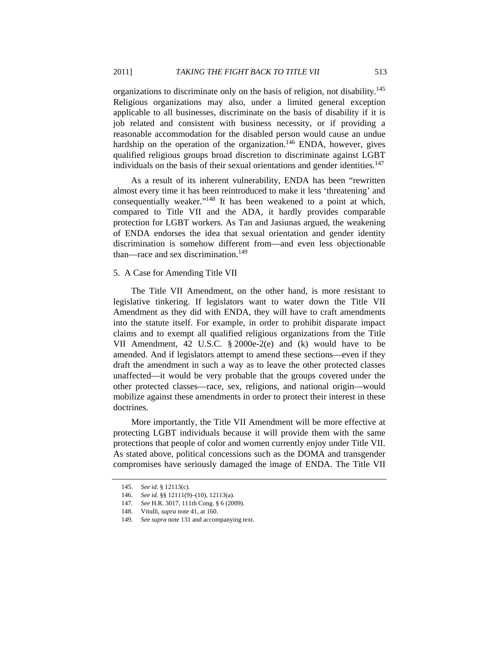organizations to discriminate only on the basis of religion, not disability.<sup>145</sup> Religious organizations may also, under a limited general exception applicable to all businesses, discriminate on the basis of disability if it is job related and consistent with business necessity, or if providing a reasonable accommodation for the disabled person would cause an undue hardship on the operation of the organization.<sup>146</sup> ENDA, however, gives qualified religious groups broad discretion to discriminate against LGBT individuals on the basis of their sexual orientations and gender identities.<sup>147</sup>

As a result of its inherent vulnerability, ENDA has been "rewritten almost every time it has been reintroduced to make it less 'threatening' and consequentially weaker."148 It has been weakened to a point at which, compared to Title VII and the ADA, it hardly provides comparable protection for LGBT workers. As Tan and Jasiunas argued, the weakening of ENDA endorses the idea that sexual orientation and gender identity discrimination is somehow different from—and even less objectionable than—race and sex discrimination.<sup>149</sup>

## 5. A Case for Amending Title VII

The Title VII Amendment, on the other hand, is more resistant to legislative tinkering. If legislators want to water down the Title VII Amendment as they did with ENDA, they will have to craft amendments into the statute itself. For example, in order to prohibit disparate impact claims and to exempt all qualified religious organizations from the Title VII Amendment, 42 U.S.C. § 2000e-2(e) and (k) would have to be amended. And if legislators attempt to amend these sections—even if they draft the amendment in such a way as to leave the other protected classes unaffected—it would be very probable that the groups covered under the other protected classes—race, sex, religions, and national origin—would mobilize against these amendments in order to protect their interest in these doctrines.

More importantly, the Title VII Amendment will be more effective at protecting LGBT individuals because it will provide them with the same protections that people of color and women currently enjoy under Title VII. As stated above, political concessions such as the DOMA and transgender compromises have seriously damaged the image of ENDA. The Title VII

<sup>145.</sup> *See id.* § 12113(c).

<sup>146.</sup> *See id.* §§ 12111(9)–(10), 12113(a).

<sup>147.</sup> *See* H.R. 3017, 111th Cong. § 6 (2009).

 <sup>148.</sup> Vitulli, *supra* note 41, at 160.

 <sup>149.</sup> *See supra* note 131 and accompanying text.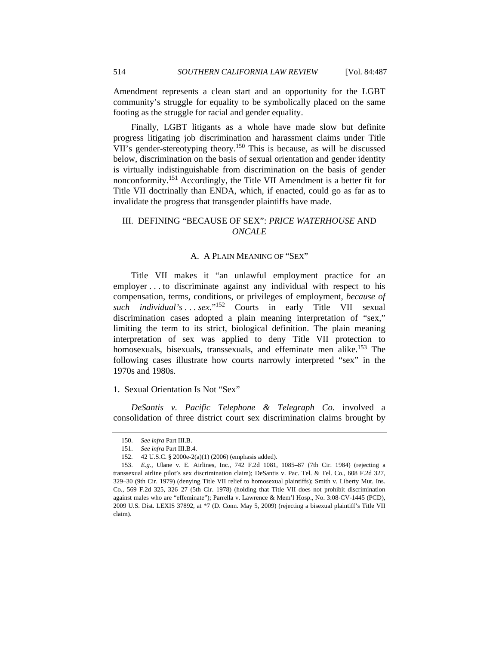Amendment represents a clean start and an opportunity for the LGBT community's struggle for equality to be symbolically placed on the same footing as the struggle for racial and gender equality.

Finally, LGBT litigants as a whole have made slow but definite progress litigating job discrimination and harassment claims under Title VII's gender-stereotyping theory.<sup>150</sup> This is because, as will be discussed below, discrimination on the basis of sexual orientation and gender identity is virtually indistinguishable from discrimination on the basis of gender nonconformity.151 Accordingly, the Title VII Amendment is a better fit for Title VII doctrinally than ENDA, which, if enacted, could go as far as to invalidate the progress that transgender plaintiffs have made.

## III. DEFINING "BECAUSE OF SEX": *PRICE WATERHOUSE* AND *ONCALE*

#### A. A PLAIN MEANING OF "SEX"

Title VII makes it "an unlawful employment practice for an employer . . . to discriminate against any individual with respect to his compensation, terms, conditions, or privileges of employment, *because of such individual's* . . . *sex*."152 Courts in early Title VII sexual discrimination cases adopted a plain meaning interpretation of "sex," limiting the term to its strict, biological definition. The plain meaning interpretation of sex was applied to deny Title VII protection to homosexuals, bisexuals, transsexuals, and effeminate men alike.<sup>153</sup> The following cases illustrate how courts narrowly interpreted "sex" in the 1970s and 1980s.

## 1. Sexual Orientation Is Not "Sex"

*DeSantis v. Pacific Telephone & Telegraph Co.* involved a consolidation of three district court sex discrimination claims brought by

<sup>150.</sup> *See infra* Part III.B.

 <sup>151.</sup> *See infra* Part III.B.4.

 <sup>152. 42</sup> U.S.C. § 2000e-2(a)(1) (2006) (emphasis added).

<sup>153.</sup> *E.g.*, Ulane v. E. Airlines, Inc., 742 F.2d 1081, 1085–87 (7th Cir. 1984) (rejecting a transsexual airline pilot's sex discrimination claim); DeSantis v. Pac. Tel. & Tel. Co., 608 F.2d 327, 329–30 (9th Cir. 1979) (denying Title VII relief to homosexual plaintiffs); Smith v. Liberty Mut. Ins. Co., 569 F.2d 325, 326–27 (5th Cir. 1978) (holding that Title VII does not prohibit discrimination against males who are "effeminate"); Parrella v. Lawrence & Mem'l Hosp., No. 3:08-CV-1445 (PCD), 2009 U.S. Dist. LEXIS 37892, at \*7 (D. Conn. May 5, 2009) (rejecting a bisexual plaintiff's Title VII claim).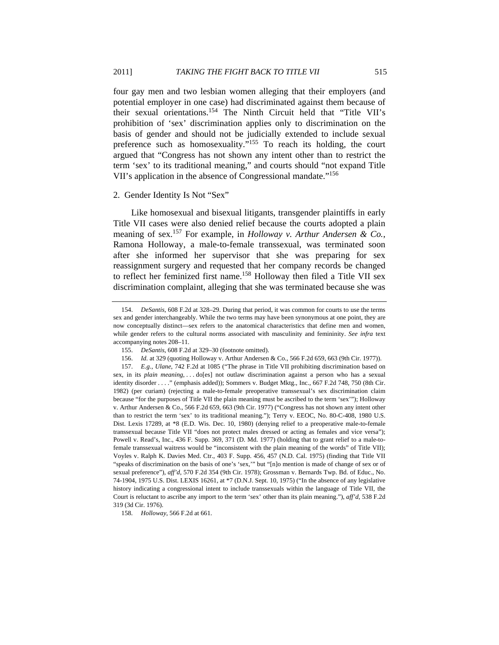four gay men and two lesbian women alleging that their employers (and potential employer in one case) had discriminated against them because of their sexual orientations.154 The Ninth Circuit held that "Title VII's prohibition of 'sex' discrimination applies only to discrimination on the basis of gender and should not be judicially extended to include sexual preference such as homosexuality."155 To reach its holding, the court argued that "Congress has not shown any intent other than to restrict the term 'sex' to its traditional meaning," and courts should "not expand Title VII's application in the absence of Congressional mandate."<sup>156</sup>

#### 2. Gender Identity Is Not "Sex"

Like homosexual and bisexual litigants, transgender plaintiffs in early Title VII cases were also denied relief because the courts adopted a plain meaning of sex.157 For example, in *Holloway v. Arthur Andersen & Co.*, Ramona Holloway, a male-to-female transsexual, was terminated soon after she informed her supervisor that she was preparing for sex reassignment surgery and requested that her company records be changed to reflect her feminized first name.<sup>158</sup> Holloway then filed a Title VII sex discrimination complaint, alleging that she was terminated because she was

<sup>154.</sup> *DeSantis*, 608 F.2d at 328–29. During that period, it was common for courts to use the terms sex and gender interchangeably. While the two terms may have been synonymous at one point, they are now conceptually distinct—sex refers to the anatomical characteristics that define men and women, while gender refers to the cultural norms associated with masculinity and femininity. *See infra* text accompanying notes 208–11.

<sup>155.</sup> *DeSantis*, 608 F.2d at 329–30 (footnote omitted).

<sup>156.</sup> *Id.* at 329 (quoting Holloway v. Arthur Andersen & Co., 566 F.2d 659, 663 (9th Cir. 1977)).

<sup>157.</sup> *E.g.*, *Ulane*, 742 F.2d at 1085 ("The phrase in Title VII prohibiting discrimination based on sex, in its *plain meaning*, . . do[es] not outlaw discrimination against a person who has a sexual identity disorder . . . ." (emphasis added)); Sommers v. Budget Mktg., Inc., 667 F.2d 748, 750 (8th Cir. 1982) (per curiam) (rejecting a male-to-female preoperative transsexual's sex discrimination claim because "for the purposes of Title VII the plain meaning must be ascribed to the term 'sex'"); Holloway v. Arthur Andersen & Co., 566 F.2d 659, 663 (9th Cir. 1977) ("Congress has not shown any intent other than to restrict the term 'sex' to its traditional meaning."); Terry v. EEOC, No. 80-C-408, 1980 U.S. Dist. Lexis 17289, at \*8 (E.D. Wis. Dec. 10, 1980) (denying relief to a preoperative male-to-female transsexual because Title VII "does not protect males dressed or acting as females and vice versa"); Powell v. Read's, Inc., 436 F. Supp. 369, 371 (D. Md. 1977) (holding that to grant relief to a male-tofemale transsexual waitress would be "inconsistent with the plain meaning of the words" of Title VII); Voyles v. Ralph K. Davies Med. Ctr., 403 F. Supp. 456, 457 (N.D. Cal. 1975) (finding that Title VII "speaks of discrimination on the basis of one's 'sex,'" but "[n]o mention is made of change of sex or of sexual preference"), *aff'd*, 570 F.2d 354 (9th Cir. 1978); Grossman v. Bernards Twp. Bd. of Educ., No. 74-1904, 1975 U.S. Dist. LEXIS 16261, at \*7 (D.N.J. Sept. 10, 1975) ("In the absence of any legislative history indicating a congressional intent to include transsexuals within the language of Title VII, the Court is reluctant to ascribe any import to the term 'sex' other than its plain meaning."), *aff'd*, 538 F.2d 319 (3d Cir. 1976).

<sup>158.</sup> *Holloway*, 566 F.2d at 661.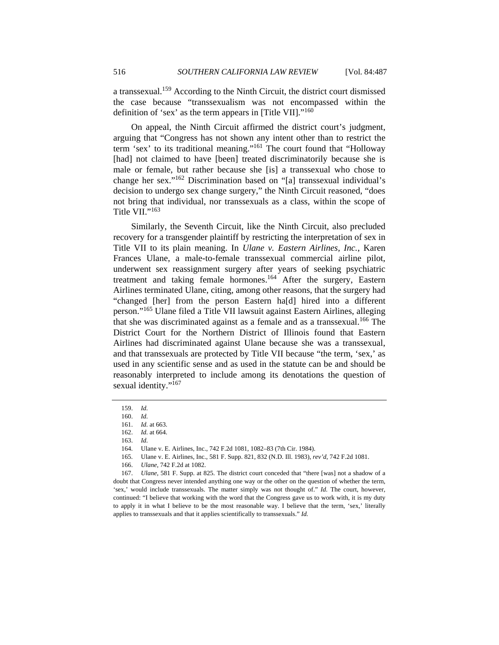a transsexual.159 According to the Ninth Circuit, the district court dismissed the case because "transsexualism was not encompassed within the definition of 'sex' as the term appears in [Title VII]."160

On appeal, the Ninth Circuit affirmed the district court's judgment, arguing that "Congress has not shown any intent other than to restrict the term 'sex' to its traditional meaning."161 The court found that "Holloway [had] not claimed to have [been] treated discriminatorily because she is male or female, but rather because she [is] a transsexual who chose to change her sex."162 Discrimination based on "[a] transsexual individual's decision to undergo sex change surgery," the Ninth Circuit reasoned, "does not bring that individual, nor transsexuals as a class, within the scope of Title VII."<sup>163</sup>

Similarly, the Seventh Circuit, like the Ninth Circuit, also precluded recovery for a transgender plaintiff by restricting the interpretation of sex in Title VII to its plain meaning. In *Ulane v. Eastern Airlines, Inc.*, Karen Frances Ulane, a male-to-female transsexual commercial airline pilot, underwent sex reassignment surgery after years of seeking psychiatric treatment and taking female hormones.164 After the surgery, Eastern Airlines terminated Ulane, citing, among other reasons, that the surgery had "changed [her] from the person Eastern ha[d] hired into a different person."165 Ulane filed a Title VII lawsuit against Eastern Airlines, alleging that she was discriminated against as a female and as a transsexual.<sup>166</sup> The District Court for the Northern District of Illinois found that Eastern Airlines had discriminated against Ulane because she was a transsexual, and that transsexuals are protected by Title VII because "the term, 'sex,' as used in any scientific sense and as used in the statute can be and should be reasonably interpreted to include among its denotations the question of sexual identity."<sup>167</sup>

<sup>159.</sup> *Id.* 

<sup>160.</sup> *Id.* 

<sup>161.</sup> *Id.* at 663.

<sup>162.</sup> *Id.* at 664.

<sup>163.</sup> *Id.* 

 <sup>164.</sup> Ulane v. E. Airlines, Inc., 742 F.2d 1081, 1082–83 (7th Cir. 1984).

 <sup>165.</sup> Ulane v. E. Airlines, Inc., 581 F. Supp. 821, 832 (N.D. Ill. 1983), *rev'd*, 742 F.2d 1081.

<sup>166.</sup> *Ulane*, 742 F.2d at 1082.

<sup>167.</sup> *Ulane*, 581 F. Supp. at 825. The district court conceded that "there [was] not a shadow of a doubt that Congress never intended anything one way or the other on the question of whether the term, 'sex,' would include transsexuals. The matter simply was not thought of." *Id.* The court, however, continued: "I believe that working with the word that the Congress gave us to work with, it is my duty to apply it in what I believe to be the most reasonable way. I believe that the term, 'sex,' literally applies to transsexuals and that it applies scientifically to transsexuals." *Id.*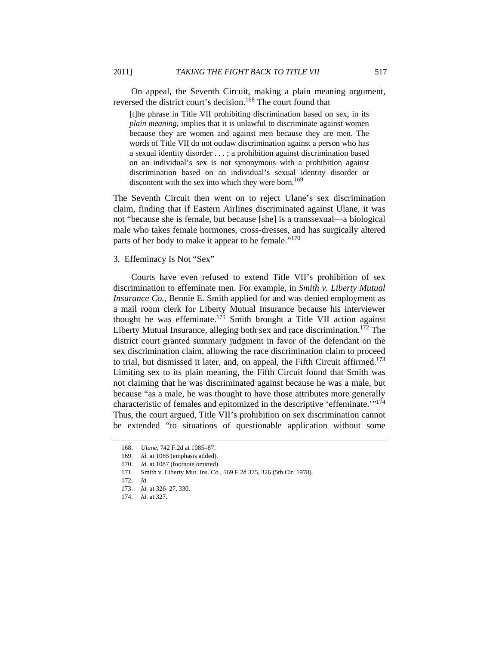On appeal, the Seventh Circuit, making a plain meaning argument, reversed the district court's decision.<sup>168</sup> The court found that

[t]he phrase in Title VII prohibiting discrimination based on sex, in its *plain meaning*, implies that it is unlawful to discriminate against women because they are women and against men because they are men. The words of Title VII do not outlaw discrimination against a person who has a sexual identity disorder . . . ; a prohibition against discrimination based on an individual's sex is not synonymous with a prohibition against discrimination based on an individual's sexual identity disorder or discontent with the sex into which they were born.<sup>169</sup>

The Seventh Circuit then went on to reject Ulane's sex discrimination claim, finding that if Eastern Airlines discriminated against Ulane, it was not "because she is female, but because [she] is a transsexual—a biological male who takes female hormones, cross-dresses, and has surgically altered parts of her body to make it appear to be female."<sup>170</sup>

#### 3. Effeminacy Is Not "Sex"

Courts have even refused to extend Title VII's prohibition of sex discrimination to effeminate men. For example, in *Smith v. Liberty Mutual Insurance Co.*, Bennie E. Smith applied for and was denied employment as a mail room clerk for Liberty Mutual Insurance because his interviewer thought he was effeminate.<sup>171</sup> Smith brought a Title VII action against Liberty Mutual Insurance, alleging both sex and race discrimination.<sup>172</sup> The district court granted summary judgment in favor of the defendant on the sex discrimination claim, allowing the race discrimination claim to proceed to trial, but dismissed it later, and, on appeal, the Fifth Circuit affirmed.<sup>173</sup> Limiting sex to its plain meaning, the Fifth Circuit found that Smith was not claiming that he was discriminated against because he was a male, but because "as a male, he was thought to have those attributes more generally characteristic of females and epitomized in the descriptive 'effeminate.'"174 Thus, the court argued, Title VII's prohibition on sex discrimination cannot be extended "to situations of questionable application without some

<sup>168.</sup> *Ulane*, 742 F.2d at 1085–87.

<sup>169.</sup> *Id.* at 1085 (emphasis added).

<sup>170.</sup> *Id.* at 1087 (footnote omitted).

 <sup>171.</sup> Smith v. Liberty Mut. Ins. Co., 569 F.2d 325, 326 (5th Cir. 1978).

<sup>172.</sup> *Id.*

<sup>173.</sup> *Id.* at 326–27, 330.

<sup>174.</sup> *Id.* at 327.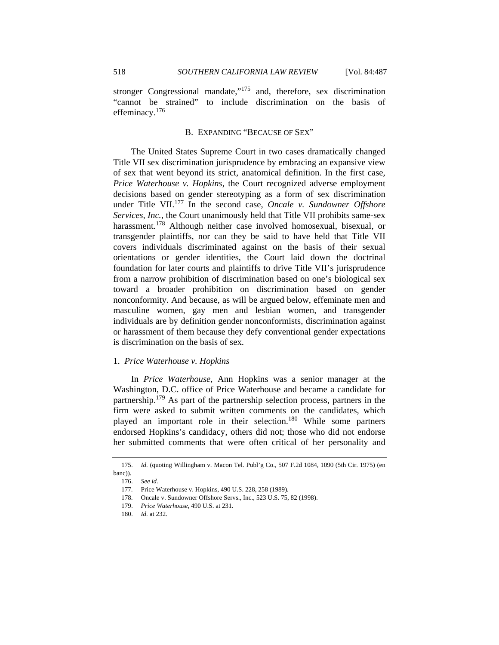stronger Congressional mandate, $175$  and, therefore, sex discrimination "cannot be strained" to include discrimination on the basis of effeminacy.176

## B. EXPANDING "BECAUSE OF SEX"

The United States Supreme Court in two cases dramatically changed Title VII sex discrimination jurisprudence by embracing an expansive view of sex that went beyond its strict, anatomical definition. In the first case, *Price Waterhouse v. Hopkins*, the Court recognized adverse employment decisions based on gender stereotyping as a form of sex discrimination under Title VII.<sup>177</sup> In the second case, *Oncale v. Sundowner Offshore Services, Inc.*, the Court unanimously held that Title VII prohibits same-sex harassment.<sup>178</sup> Although neither case involved homosexual, bisexual, or transgender plaintiffs, nor can they be said to have held that Title VII covers individuals discriminated against on the basis of their sexual orientations or gender identities, the Court laid down the doctrinal foundation for later courts and plaintiffs to drive Title VII's jurisprudence from a narrow prohibition of discrimination based on one's biological sex toward a broader prohibition on discrimination based on gender nonconformity. And because, as will be argued below, effeminate men and masculine women, gay men and lesbian women, and transgender individuals are by definition gender nonconformists, discrimination against or harassment of them because they defy conventional gender expectations is discrimination on the basis of sex.

#### 1. *Price Waterhouse v. Hopkins*

In *Price Waterhouse*, Ann Hopkins was a senior manager at the Washington, D.C. office of Price Waterhouse and became a candidate for partnership.179 As part of the partnership selection process, partners in the firm were asked to submit written comments on the candidates, which played an important role in their selection.<sup>180</sup> While some partners endorsed Hopkins's candidacy, others did not; those who did not endorse her submitted comments that were often critical of her personality and

 <sup>175.</sup> *Id.* (quoting Willingham v. Macon Tel. Publ'g Co., 507 F.2d 1084, 1090 (5th Cir. 1975) (en banc)).

<sup>176.</sup> *See id.*

 <sup>177.</sup> Price Waterhouse v. Hopkins, 490 U.S. 228, 258 (1989).

 <sup>178.</sup> Oncale v. Sundowner Offshore Servs., Inc., 523 U.S. 75, 82 (1998).

<sup>179.</sup> *Price Waterhouse*, 490 U.S. at 231.

<sup>180.</sup> *Id.* at 232.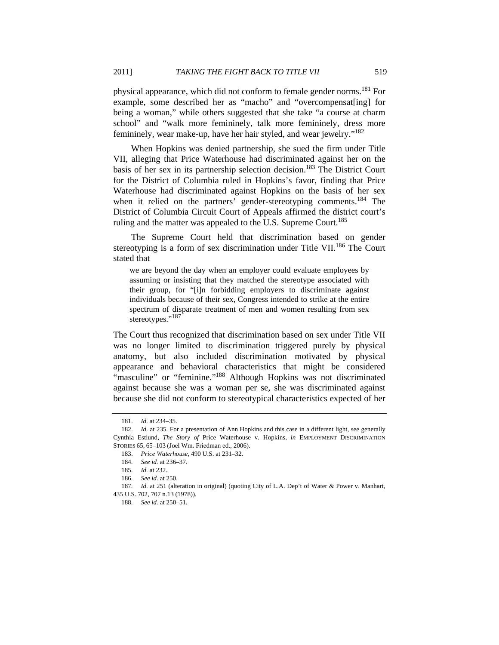physical appearance, which did not conform to female gender norms.<sup>181</sup> For example, some described her as "macho" and "overcompensate all for being a woman," while others suggested that she take "a course at charm school" and "walk more femininely, talk more femininely, dress more femininely, wear make-up, have her hair styled, and wear jewelry."182

When Hopkins was denied partnership, she sued the firm under Title VII, alleging that Price Waterhouse had discriminated against her on the basis of her sex in its partnership selection decision.<sup>183</sup> The District Court for the District of Columbia ruled in Hopkins's favor, finding that Price Waterhouse had discriminated against Hopkins on the basis of her sex when it relied on the partners' gender-stereotyping comments.<sup>184</sup> The District of Columbia Circuit Court of Appeals affirmed the district court's ruling and the matter was appealed to the U.S. Supreme Court.<sup>185</sup>

The Supreme Court held that discrimination based on gender stereotyping is a form of sex discrimination under Title VII.<sup>186</sup> The Court stated that

we are beyond the day when an employer could evaluate employees by assuming or insisting that they matched the stereotype associated with their group, for "[i]n forbidding employers to discriminate against individuals because of their sex, Congress intended to strike at the entire spectrum of disparate treatment of men and women resulting from sex stereotypes."<sup>187</sup>

The Court thus recognized that discrimination based on sex under Title VII was no longer limited to discrimination triggered purely by physical anatomy, but also included discrimination motivated by physical appearance and behavioral characteristics that might be considered "masculine" or "feminine."<sup>188</sup> Although Hopkins was not discriminated against because she was a woman per se, she was discriminated against because she did not conform to stereotypical characteristics expected of her

<sup>181.</sup> *Id.* at 234–35.

<sup>182.</sup> *Id.* at 235. For a presentation of Ann Hopkins and this case in a different light, see generally Cynthia Estlund, *The Story of* Price Waterhouse v. Hopkins, *in* EMPLOYMENT DISCRIMINATION STORIES 65, 65–103 (Joel Wm. Friedman ed., 2006).

<sup>183.</sup> *Price Waterhouse*, 490 U.S. at 231–32.

<sup>184.</sup> *See id.* at 236–37.

<sup>185.</sup> *Id.* at 232.

<sup>186.</sup> *See id.* at 250.

<sup>187.</sup> *Id.* at 251 (alteration in original) (quoting City of L.A. Dep't of Water & Power v. Manhart, 435 U.S. 702, 707 n.13 (1978)).

<sup>188.</sup> *See id.* at 250–51.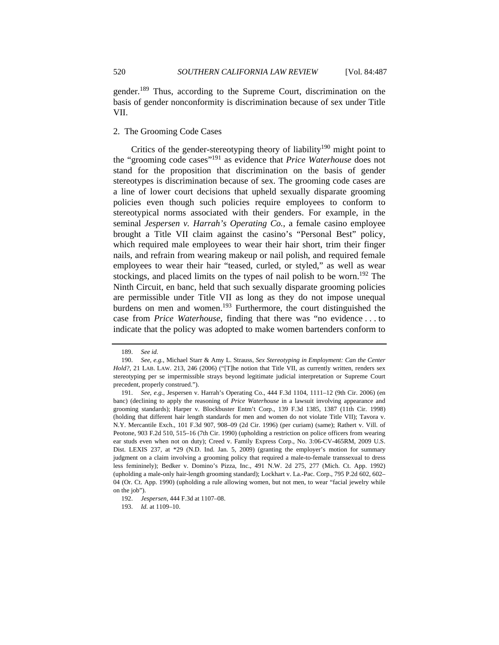gender.189 Thus, according to the Supreme Court, discrimination on the basis of gender nonconformity is discrimination because of sex under Title VII.

## 2. The Grooming Code Cases

Critics of the gender-stereotyping theory of liability<sup>190</sup> might point to the "grooming code cases"191 as evidence that *Price Waterhouse* does not stand for the proposition that discrimination on the basis of gender stereotypes is discrimination because of sex. The grooming code cases are a line of lower court decisions that upheld sexually disparate grooming policies even though such policies require employees to conform to stereotypical norms associated with their genders. For example, in the seminal *Jespersen v. Harrah's Operating Co.*, a female casino employee brought a Title VII claim against the casino's "Personal Best" policy, which required male employees to wear their hair short, trim their finger nails, and refrain from wearing makeup or nail polish, and required female employees to wear their hair "teased, curled, or styled," as well as wear stockings, and placed limits on the types of nail polish to be worn.<sup>192</sup> The Ninth Circuit, en banc, held that such sexually disparate grooming policies are permissible under Title VII as long as they do not impose unequal burdens on men and women.<sup>193</sup> Furthermore, the court distinguished the case from *Price Waterhouse*, finding that there was "no evidence . . . to indicate that the policy was adopted to make women bartenders conform to

<sup>189.</sup> *See id.* 

<sup>190.</sup> *See, e.g.*, Michael Starr & Amy L. Strauss, *Sex Stereotyping in Employment: Can the Center Hold?*, 21 LAB. LAW. 213, 246 (2006) ("[T]he notion that Title VII, as currently written, renders sex stereotyping per se impermissible strays beyond legitimate judicial interpretation or Supreme Court precedent, properly construed.").

<sup>191.</sup> *See, e.g.*, Jespersen v. Harrah's Operating Co., 444 F.3d 1104, 1111–12 (9th Cir. 2006) (en banc) (declining to apply the reasoning of *Price Waterhouse* in a lawsuit involving appearance and grooming standards); Harper v. Blockbuster Entm't Corp., 139 F.3d 1385, 1387 (11th Cir. 1998) (holding that different hair length standards for men and women do not violate Title VII); Tavora v. N.Y. Mercantile Exch., 101 F.3d 907, 908–09 (2d Cir. 1996) (per curiam) (same); Rathert v. Vill. of Peotone, 903 F.2d 510, 515–16 (7th Cir. 1990) (upholding a restriction on police officers from wearing ear studs even when not on duty); Creed v. Family Express Corp., No. 3:06-CV-465RM, 2009 U.S. Dist. LEXIS 237, at \*29 (N.D. Ind. Jan. 5, 2009) (granting the employer's motion for summary judgment on a claim involving a grooming policy that required a male-to-female transsexual to dress less femininely); Bedker v. Domino's Pizza, Inc., 491 N.W. 2d 275, 277 (Mich. Ct. App. 1992) (upholding a male-only hair-length grooming standard); Lockhart v. La.-Pac. Corp., 795 P.2d 602, 602– 04 (Or. Ct. App. 1990) (upholding a rule allowing women, but not men, to wear "facial jewelry while on the job").

 <sup>192.</sup> *Jespersen*, 444 F.3d at 1107–08.

 <sup>193.</sup> *Id.* at 1109–10.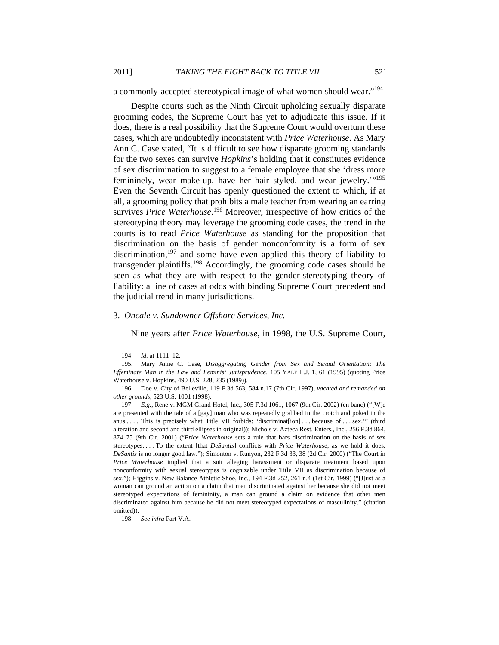a commonly-accepted stereotypical image of what women should wear."<sup>194</sup>

Despite courts such as the Ninth Circuit upholding sexually disparate grooming codes, the Supreme Court has yet to adjudicate this issue. If it does, there is a real possibility that the Supreme Court would overturn these cases, which are undoubtedly inconsistent with *Price Waterhouse*. As Mary Ann C. Case stated, "It is difficult to see how disparate grooming standards for the two sexes can survive *Hopkins*'s holding that it constitutes evidence of sex discrimination to suggest to a female employee that she 'dress more femininely, wear make-up, have her hair styled, and wear jewelry.'"195 Even the Seventh Circuit has openly questioned the extent to which, if at all, a grooming policy that prohibits a male teacher from wearing an earring survives *Price Waterhouse*. 196 Moreover, irrespective of how critics of the stereotyping theory may leverage the grooming code cases, the trend in the courts is to read *Price Waterhouse* as standing for the proposition that discrimination on the basis of gender nonconformity is a form of sex discrimination,<sup>197</sup> and some have even applied this theory of liability to transgender plaintiffs.198 Accordingly, the grooming code cases should be seen as what they are with respect to the gender-stereotyping theory of liability: a line of cases at odds with binding Supreme Court precedent and the judicial trend in many jurisdictions.

#### 3. *Oncale v. Sundowner Offshore Services, Inc.*

Nine years after *Price Waterhouse*, in 1998, the U.S. Supreme Court,

 <sup>194.</sup> *Id.* at 1111–12.

 <sup>195.</sup> Mary Anne C. Case, *Disaggregating Gender from Sex and Sexual Orientation: The Effeminate Man in the Law and Feminist Jurisprudence*, 105 YALE L.J. 1, 61 (1995) (quoting Price Waterhouse v. Hopkins, 490 U.S. 228, 235 (1989)).

<sup>196.</sup> Doe v. City of Belleville, 119 F.3d 563, 584 n.17 (7th Cir. 1997), *vacated and remanded on other grounds*, 523 U.S. 1001 (1998).

<sup>197.</sup> *E.g.*, Rene v. MGM Grand Hotel, Inc., 305 F.3d 1061, 1067 (9th Cir. 2002) (en banc) ("[W]e are presented with the tale of a [gay] man who was repeatedly grabbed in the crotch and poked in the anus .... This is precisely what Title VII forbids: 'discriminat[ion] ... because of ... sex."" (third alteration and second and third ellipses in original)); Nichols v. Azteca Rest. Enters., Inc., 256 F.3d 864, 874–75 (9th Cir. 2001) ("*Price Waterhouse* sets a rule that bars discrimination on the basis of sex stereotypes. . . . To the extent [that *DeSantis*] conflicts with *Price Waterhouse*, as we hold it does, *DeSantis* is no longer good law."); Simonton v. Runyon, 232 F.3d 33, 38 (2d Cir. 2000) ("The Court in *Price Waterhouse* implied that a suit alleging harassment or disparate treatment based upon nonconformity with sexual stereotypes is cognizable under Title VII as discrimination because of sex."); Higgins v. New Balance Athletic Shoe, Inc., 194 F.3d 252, 261 n.4 (1st Cir. 1999) ("[J]ust as a woman can ground an action on a claim that men discriminated against her because she did not meet stereotyped expectations of femininity, a man can ground a claim on evidence that other men discriminated against him because he did not meet stereotyped expectations of masculinity." (citation omitted)).

 <sup>198.</sup> *See infra* Part V.A.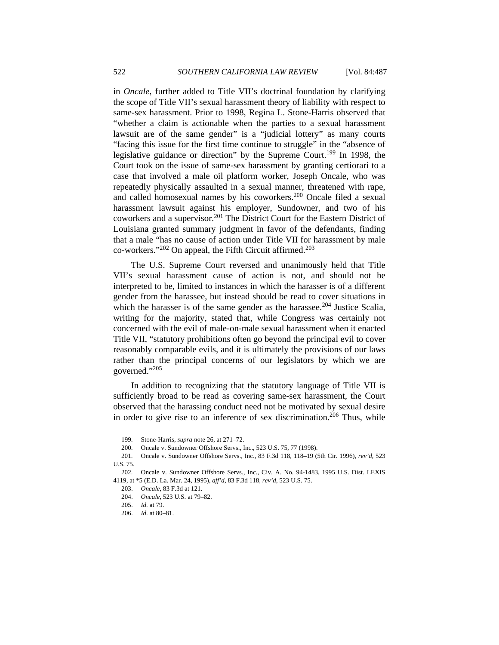in *Oncale*, further added to Title VII's doctrinal foundation by clarifying the scope of Title VII's sexual harassment theory of liability with respect to same-sex harassment. Prior to 1998, Regina L. Stone-Harris observed that "whether a claim is actionable when the parties to a sexual harassment lawsuit are of the same gender" is a "judicial lottery" as many courts "facing this issue for the first time continue to struggle" in the "absence of legislative guidance or direction" by the Supreme Court.<sup>199</sup> In 1998, the Court took on the issue of same-sex harassment by granting certiorari to a case that involved a male oil platform worker, Joseph Oncale, who was repeatedly physically assaulted in a sexual manner, threatened with rape, and called homosexual names by his coworkers.200 Oncale filed a sexual harassment lawsuit against his employer, Sundowner, and two of his coworkers and a supervisor.<sup>201</sup> The District Court for the Eastern District of Louisiana granted summary judgment in favor of the defendants, finding that a male "has no cause of action under Title VII for harassment by male co-workers." $202$  On appeal, the Fifth Circuit affirmed. $203$ 

The U.S. Supreme Court reversed and unanimously held that Title VII's sexual harassment cause of action is not, and should not be interpreted to be, limited to instances in which the harasser is of a different gender from the harassee, but instead should be read to cover situations in which the harasser is of the same gender as the harassee.<sup>204</sup> Justice Scalia, writing for the majority, stated that, while Congress was certainly not concerned with the evil of male-on-male sexual harassment when it enacted Title VII, "statutory prohibitions often go beyond the principal evil to cover reasonably comparable evils, and it is ultimately the provisions of our laws rather than the principal concerns of our legislators by which we are governed."205

In addition to recognizing that the statutory language of Title VII is sufficiently broad to be read as covering same-sex harassment, the Court observed that the harassing conduct need not be motivated by sexual desire in order to give rise to an inference of sex discrimination.<sup>206</sup> Thus, while

 <sup>199.</sup> Stone-Harris, *supra* note 26, at 271–72.

 <sup>200.</sup> Oncale v. Sundowner Offshore Servs., Inc., 523 U.S. 75, 77 (1998).

 <sup>201.</sup> Oncale v. Sundowner Offshore Servs., Inc., 83 F.3d 118, 118–19 (5th Cir. 1996), *rev'd*, 523 U.S. 75.

 <sup>202.</sup> Oncale v. Sundowner Offshore Servs., Inc., Civ. A. No. 94-1483, 1995 U.S. Dist. LEXIS 4119, at \*5 (E.D. La. Mar. 24, 1995), *aff'd*, 83 F.3d 118, *rev'd*, 523 U.S. 75.

<sup>203.</sup> *Oncale*, 83 F.3d at 121.

<sup>204.</sup> *Oncale*, 523 U.S. at 79–82.

<sup>205.</sup> *Id.* at 79.

<sup>206.</sup> *Id.* at 80–81.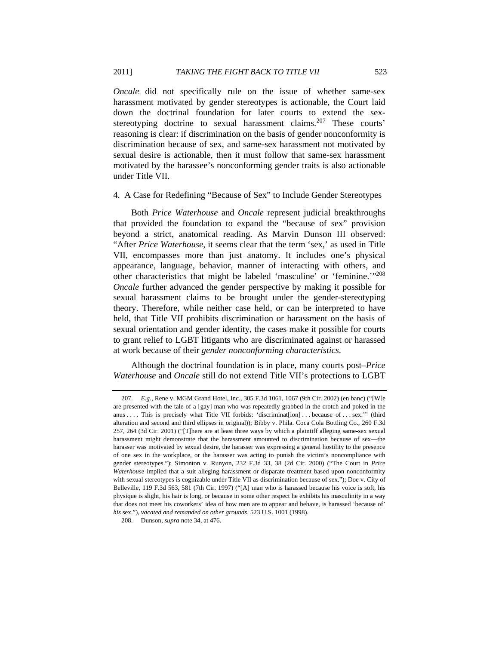*Oncale* did not specifically rule on the issue of whether same-sex harassment motivated by gender stereotypes is actionable, the Court laid down the doctrinal foundation for later courts to extend the sexstereotyping doctrine to sexual harassment claims.<sup>207</sup> These courts' reasoning is clear: if discrimination on the basis of gender nonconformity is discrimination because of sex, and same-sex harassment not motivated by sexual desire is actionable, then it must follow that same-sex harassment motivated by the harassee's nonconforming gender traits is also actionable under Title VII.

## 4. A Case for Redefining "Because of Sex" to Include Gender Stereotypes

Both *Price Waterhouse* and *Oncale* represent judicial breakthroughs that provided the foundation to expand the "because of sex" provision beyond a strict, anatomical reading. As Marvin Dunson III observed: "After *Price Waterhouse*, it seems clear that the term 'sex,' as used in Title VII, encompasses more than just anatomy. It includes one's physical appearance, language, behavior, manner of interacting with others, and other characteristics that might be labeled 'masculine' or 'feminine.'"208 *Oncale* further advanced the gender perspective by making it possible for sexual harassment claims to be brought under the gender-stereotyping theory. Therefore, while neither case held, or can be interpreted to have held, that Title VII prohibits discrimination or harassment on the basis of sexual orientation and gender identity, the cases make it possible for courts to grant relief to LGBT litigants who are discriminated against or harassed at work because of their *gender nonconforming characteristics*.

Although the doctrinal foundation is in place, many courts post–*Price Waterhouse* and *Oncale* still do not extend Title VII's protections to LGBT

<sup>207.</sup> *E.g.*, Rene v. MGM Grand Hotel, Inc., 305 F.3d 1061, 1067 (9th Cir. 2002) (en banc) ("[W]e are presented with the tale of a [gay] man who was repeatedly grabbed in the crotch and poked in the anus .... This is precisely what Title VII forbids: 'discriminat[ion]... because of ... sex." (third alteration and second and third ellipses in original)); Bibby v. Phila. Coca Cola Bottling Co., 260 F.3d 257, 264 (3d Cir. 2001) ("[T]here are at least three ways by which a plaintiff alleging same-sex sexual harassment might demonstrate that the harassment amounted to discrimination because of sex—the harasser was motivated by sexual desire, the harasser was expressing a general hostility to the presence of one sex in the workplace, or the harasser was acting to punish the victim's noncompliance with gender stereotypes."); Simonton v. Runyon, 232 F.3d 33, 38 (2d Cir. 2000) ("The Court in *Price Waterhouse* implied that a suit alleging harassment or disparate treatment based upon nonconformity with sexual stereotypes is cognizable under Title VII as discrimination because of sex."); Doe v. City of Belleville, 119 F.3d 563, 581 (7th Cir. 1997) ("[A] man who is harassed because his voice is soft, his physique is slight, his hair is long, or because in some other respect he exhibits his masculinity in a way that does not meet his coworkers' idea of how men are to appear and behave, is harassed 'because of' *his* sex."), *vacated and remanded on other grounds*, 523 U.S. 1001 (1998).

 <sup>208.</sup> Dunson, *supra* note 34, at 476.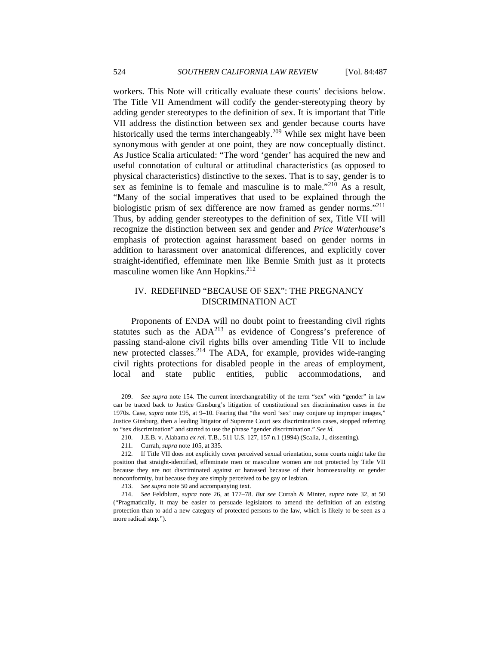workers. This Note will critically evaluate these courts' decisions below. The Title VII Amendment will codify the gender-stereotyping theory by adding gender stereotypes to the definition of sex. It is important that Title VII address the distinction between sex and gender because courts have historically used the terms interchangeably.<sup>209</sup> While sex might have been synonymous with gender at one point, they are now conceptually distinct. As Justice Scalia articulated: "The word 'gender' has acquired the new and useful connotation of cultural or attitudinal characteristics (as opposed to physical characteristics) distinctive to the sexes. That is to say, gender is to sex as feminine is to female and masculine is to male."<sup>210</sup> As a result, "Many of the social imperatives that used to be explained through the biologistic prism of sex difference are now framed as gender norms."211 Thus, by adding gender stereotypes to the definition of sex, Title VII will recognize the distinction between sex and gender and *Price Waterhouse*'s emphasis of protection against harassment based on gender norms in addition to harassment over anatomical differences, and explicitly cover straight-identified, effeminate men like Bennie Smith just as it protects masculine women like Ann Hopkins.<sup>212</sup>

## IV. REDEFINED "BECAUSE OF SEX": THE PREGNANCY DISCRIMINATION ACT

Proponents of ENDA will no doubt point to freestanding civil rights statutes such as the  $ADA^{213}$  as evidence of Congress's preference of passing stand-alone civil rights bills over amending Title VII to include new protected classes.<sup>214</sup> The ADA, for example, provides wide-ranging civil rights protections for disabled people in the areas of employment, local and state public entities, public accommodations, and

<sup>209.</sup> *See supra* note 154. The current interchangeability of the term "sex" with "gender" in law can be traced back to Justice Ginsburg's litigation of constitutional sex discrimination cases in the 1970s. Case, *supra* note 195, at 9–10. Fearing that "the word 'sex' may conjure up improper images," Justice Ginsburg, then a leading litigator of Supreme Court sex discrimination cases, stopped referring to "sex discrimination" and started to use the phrase "gender discrimination." *See id.*

 <sup>210.</sup> J.E.B. v. Alabama *ex rel.* T.B., 511 U.S. 127, 157 n.1 (1994) (Scalia, J., dissenting).

 <sup>211.</sup> Currah, *supra* note 105, at 335.

 <sup>212.</sup> If Title VII does not explicitly cover perceived sexual orientation, some courts might take the position that straight-identified, effeminate men or masculine women are not protected by Title VII because they are not discriminated against or harassed because of their homosexuality or gender nonconformity, but because they are simply perceived to be gay or lesbian.

 <sup>213.</sup> *See supra* note 50 and accompanying text.

<sup>214.</sup> *See* Feldblum, *supra* note 26, at 177–78. *But see* Currah & Minter, *supra* note 32, at 50 ("Pragmatically, it may be easier to persuade legislators to amend the definition of an existing protection than to add a new category of protected persons to the law, which is likely to be seen as a more radical step.").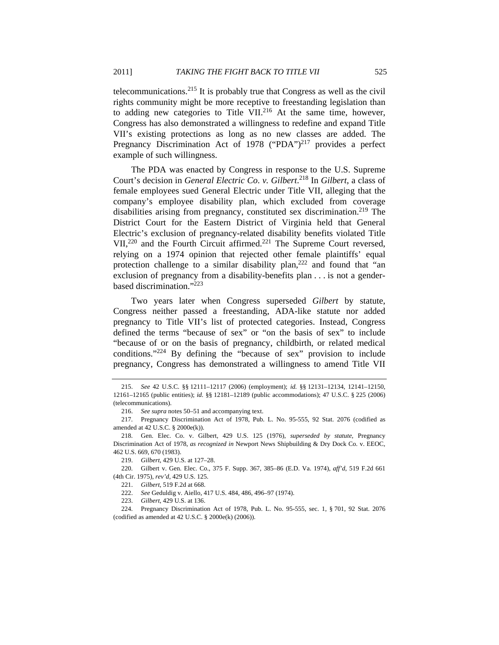telecommunications.215 It is probably true that Congress as well as the civil rights community might be more receptive to freestanding legislation than to adding new categories to Title VII.<sup>216</sup> At the same time, however, Congress has also demonstrated a willingness to redefine and expand Title VII's existing protections as long as no new classes are added. The Pregnancy Discrimination Act of 1978 ("PDA")<sup>217</sup> provides a perfect example of such willingness.

The PDA was enacted by Congress in response to the U.S. Supreme Court's decision in *General Electric Co*. *v. Gilbert*. 218 In *Gilbert*, a class of female employees sued General Electric under Title VII, alleging that the company's employee disability plan, which excluded from coverage disabilities arising from pregnancy, constituted sex discrimination.<sup>219</sup> The District Court for the Eastern District of Virginia held that General Electric's exclusion of pregnancy-related disability benefits violated Title  $VII$ ,<sup>220</sup> and the Fourth Circuit affirmed.<sup>221</sup> The Supreme Court reversed, relying on a 1974 opinion that rejected other female plaintiffs' equal protection challenge to a similar disability plan,<sup>222</sup> and found that "an exclusion of pregnancy from a disability-benefits plan . . . is not a genderbased discrimination."223

Two years later when Congress superseded *Gilbert* by statute, Congress neither passed a freestanding, ADA-like statute nor added pregnancy to Title VII's list of protected categories. Instead, Congress defined the terms "because of sex" or "on the basis of sex" to include "because of or on the basis of pregnancy, childbirth, or related medical conditions."224 By defining the "because of sex" provision to include pregnancy, Congress has demonstrated a willingness to amend Title VII

 <sup>215.</sup> *See* 42 U.S.C. §§ 12111–12117 (2006) (employment); *id.* §§ 12131–12134, 12141–12150, 12161–12165 (public entities); *id.* §§ 12181–12189 (public accommodations); 47 U.S.C. § 225 (2006) (telecommunications).

<sup>216.</sup> *See supra* notes 50–51 and accompanying text.

 <sup>217.</sup> Pregnancy Discrimination Act of 1978, Pub. L. No. 95-555, 92 Stat. 2076 (codified as amended at 42 U.S.C. § 2000e(k)).

 <sup>218.</sup> Gen. Elec. Co. v. Gilbert, 429 U.S. 125 (1976), *superseded by statute*, Pregnancy Discrimination Act of 1978, *as recognized in* Newport News Shipbuilding & Dry Dock Co. v. EEOC, 462 U.S. 669, 670 (1983).

<sup>219.</sup> *Gilbert*, 429 U.S. at 127–28.

 <sup>220.</sup> Gilbert v. Gen. Elec. Co., 375 F. Supp. 367, 385–86 (E.D. Va. 1974), *aff'd*, 519 F.2d 661 (4th Cir. 1975), *rev'd*, 429 U.S. 125.

 <sup>221.</sup> *Gilbert*, 519 F.2d at 668.

 <sup>222.</sup> *See* Geduldig v. Aiello, 417 U.S. 484, 486, 496–97 (1974).

<sup>223.</sup> *Gilbert*, 429 U.S. at 136.

 <sup>224.</sup> Pregnancy Discrimination Act of 1978, Pub. L. No. 95-555, sec. 1, § 701, 92 Stat. 2076 (codified as amended at 42 U.S.C. § 2000e(k) (2006)).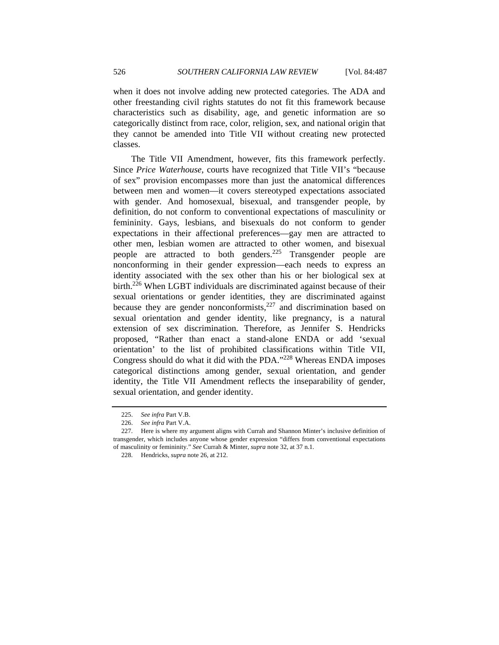when it does not involve adding new protected categories. The ADA and other freestanding civil rights statutes do not fit this framework because characteristics such as disability, age, and genetic information are so categorically distinct from race, color, religion, sex, and national origin that they cannot be amended into Title VII without creating new protected classes.

The Title VII Amendment, however, fits this framework perfectly. Since *Price Waterhouse*, courts have recognized that Title VII's "because of sex" provision encompasses more than just the anatomical differences between men and women—it covers stereotyped expectations associated with gender. And homosexual, bisexual, and transgender people, by definition, do not conform to conventional expectations of masculinity or femininity. Gays, lesbians, and bisexuals do not conform to gender expectations in their affectional preferences—gay men are attracted to other men, lesbian women are attracted to other women, and bisexual people are attracted to both genders.225 Transgender people are nonconforming in their gender expression—each needs to express an identity associated with the sex other than his or her biological sex at birth.<sup>226</sup> When LGBT individuals are discriminated against because of their sexual orientations or gender identities, they are discriminated against because they are gender nonconformists,  $227$  and discrimination based on sexual orientation and gender identity, like pregnancy, is a natural extension of sex discrimination. Therefore, as Jennifer S. Hendricks proposed, "Rather than enact a stand-alone ENDA or add 'sexual orientation' to the list of prohibited classifications within Title VII, Congress should do what it did with the PDA."<sup>228</sup> Whereas ENDA imposes categorical distinctions among gender, sexual orientation, and gender identity, the Title VII Amendment reflects the inseparability of gender, sexual orientation, and gender identity.

<sup>225.</sup> *See infra* Part V.B.

<sup>226.</sup> *See infra* Part V.A.

 <sup>227.</sup> Here is where my argument aligns with Currah and Shannon Minter's inclusive definition of transgender, which includes anyone whose gender expression "differs from conventional expectations of masculinity or femininity." *See* Currah & Minter, *supra* note 32, at 37 n.1.

 <sup>228.</sup> Hendricks, *supra* note 26, at 212.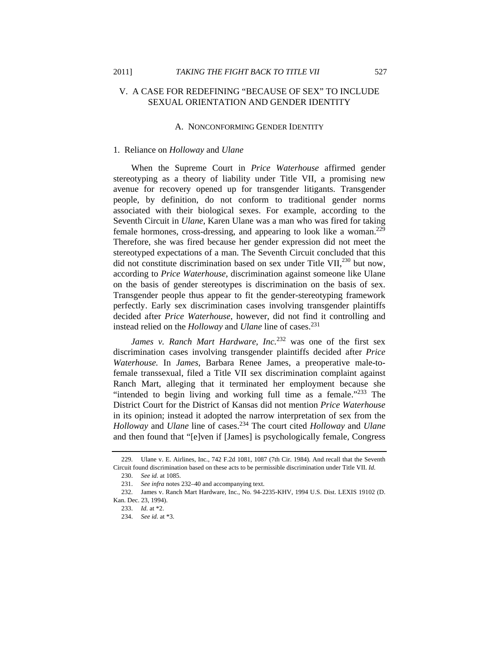## V. A CASE FOR REDEFINING "BECAUSE OF SEX" TO INCLUDE SEXUAL ORIENTATION AND GENDER IDENTITY

#### A. NONCONFORMING GENDER IDENTITY

#### 1. Reliance on *Holloway* and *Ulane*

When the Supreme Court in *Price Waterhouse* affirmed gender stereotyping as a theory of liability under Title VII, a promising new avenue for recovery opened up for transgender litigants. Transgender people, by definition, do not conform to traditional gender norms associated with their biological sexes. For example, according to the Seventh Circuit in *Ulane*, Karen Ulane was a man who was fired for taking female hormones, cross-dressing, and appearing to look like a woman.<sup>229</sup> Therefore, she was fired because her gender expression did not meet the stereotyped expectations of a man. The Seventh Circuit concluded that this did not constitute discrimination based on sex under Title VII, $^{230}$  but now, according to *Price Waterhouse*, discrimination against someone like Ulane on the basis of gender stereotypes is discrimination on the basis of sex. Transgender people thus appear to fit the gender-stereotyping framework perfectly. Early sex discrimination cases involving transgender plaintiffs decided after *Price Waterhouse*, however, did not find it controlling and instead relied on the *Holloway* and *Ulane* line of cases.<sup>231</sup>

*James v. Ranch Mart Hardware, Inc.*<sup>232</sup> was one of the first sex discrimination cases involving transgender plaintiffs decided after *Price Waterhouse.* In *James*, Barbara Renee James, a preoperative male-tofemale transsexual, filed a Title VII sex discrimination complaint against Ranch Mart, alleging that it terminated her employment because she "intended to begin living and working full time as a female."<sup>233</sup> The District Court for the District of Kansas did not mention *Price Waterhouse* in its opinion; instead it adopted the narrow interpretation of sex from the *Holloway* and *Ulane* line of cases.234 The court cited *Holloway* and *Ulane*  and then found that "[e]ven if [James] is psychologically female, Congress

 <sup>229.</sup> Ulane v. E. Airlines, Inc., 742 F.2d 1081, 1087 (7th Cir. 1984). And recall that the Seventh Circuit found discrimination based on these acts to be permissible discrimination under Title VII. *Id.*

 <sup>230.</sup> *See id.* at 1085.

<sup>231.</sup> *See infra* notes 232–40 and accompanying text.

 <sup>232.</sup> James v. Ranch Mart Hardware, Inc., No. 94-2235-KHV, 1994 U.S. Dist. LEXIS 19102 (D. Kan. Dec. 23, 1994).

<sup>233.</sup> *Id.* at \*2.

<sup>234.</sup> *See id.* at \*3.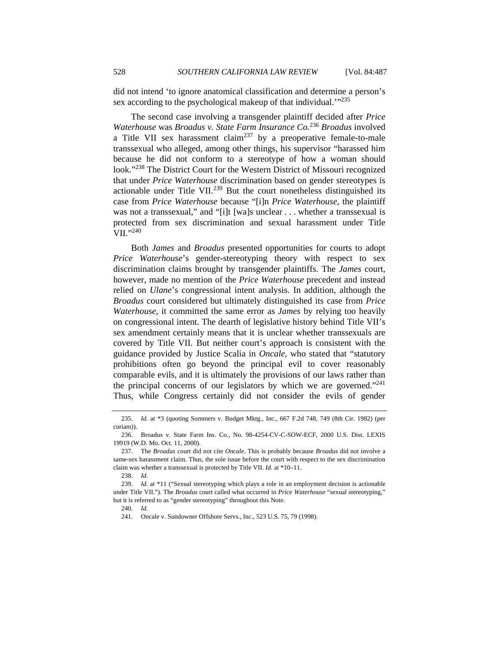did not intend 'to ignore anatomical classification and determine a person's sex according to the psychological makeup of that individual.<sup>''235</sup>

The second case involving a transgender plaintiff decided after *Price Waterhouse* was *Broadus v. State Farm Insurance Co.*<sup>236</sup> *Broadus* involved a Title VII sex harassment claim<sup>237</sup> by a preoperative female-to-male transsexual who alleged, among other things, his supervisor "harassed him because he did not conform to a stereotype of how a woman should look."238 The District Court for the Western District of Missouri recognized that under *Price Waterhouse* discrimination based on gender stereotypes is actionable under Title VII.<sup>239</sup> But the court nonetheless distinguished its case from *Price Waterhouse* because "[i]n *Price Waterhouse*, the plaintiff was not a transsexual," and "[i]t [wa]s unclear . . . whether a transsexual is protected from sex discrimination and sexual harassment under Title VII."<sup>240</sup>

Both *James* and *Broadus* presented opportunities for courts to adopt *Price Waterhouse*'s gender-stereotyping theory with respect to sex discrimination claims brought by transgender plaintiffs. The *James* court, however, made no mention of the *Price Waterhouse* precedent and instead relied on *Ulane*'s congressional intent analysis. In addition, although the *Broadus* court considered but ultimately distinguished its case from *Price Waterhouse*, it committed the same error as *James* by relying too heavily on congressional intent. The dearth of legislative history behind Title VII's sex amendment certainly means that it is unclear whether transsexuals are covered by Title VII. But neither court's approach is consistent with the guidance provided by Justice Scalia in *Oncale*, who stated that "statutory prohibitions often go beyond the principal evil to cover reasonably comparable evils, and it is ultimately the provisions of our laws rather than the principal concerns of our legislators by which we are governed."<sup>241</sup> Thus, while Congress certainly did not consider the evils of gender

238. *Id.*

<sup>235.</sup> *Id.* at \*3 (quoting Sommers v. Budget Mktg., Inc., 667 F.2d 748, 749 (8th Cir. 1982) (per curiam)).

 <sup>236.</sup> Broadus v. State Farm Ins. Co., No. 98-4254-CV-C-SOW-ECF, 2000 U.S. Dist. LEXIS 19919 (W.D. Mo. Oct. 11, 2000).

 <sup>237.</sup> The *Broadus* court did not cite *Oncale*. This is probably because *Broadus* did not involve a same-sex harassment claim. Thus, the sole issue before the court with respect to the sex discrimination claim was whether a transsexual is protected by Title VII. *Id.* at \*10–11.

<sup>239.</sup> *Id.* at \*11 ("Sexual stereotyping which plays a role in an employment decision is actionable under Title VII."). The *Broadus* court called what occurred in *Price Waterhouse* "sexual stereotyping," but it is referred to as "gender stereotyping" throughout this Note.

<sup>240.</sup> *Id.*

 <sup>241.</sup> Oncale v. Sundowner Offshore Servs., Inc., 523 U.S. 75, 79 (1998).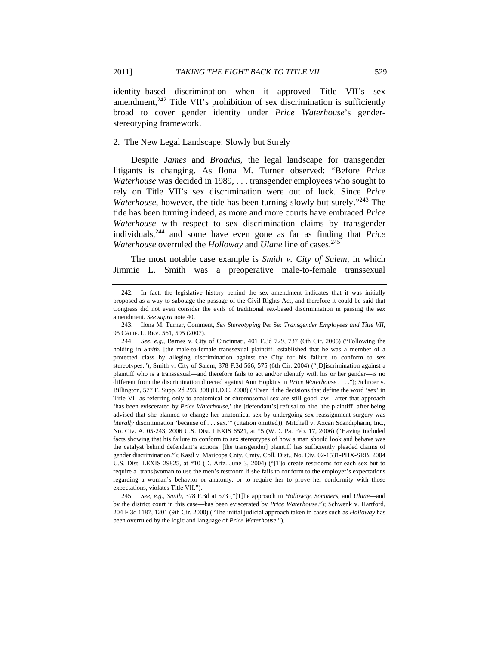identity–based discrimination when it approved Title VII's sex amendment, $242$  Title VII's prohibition of sex discrimination is sufficiently broad to cover gender identity under *Price Waterhouse*'s genderstereotyping framework.

#### 2. The New Legal Landscape: Slowly but Surely

Despite *James* and *Broadus*, the legal landscape for transgender litigants is changing. As Ilona M. Turner observed: "Before *Price Waterhouse* was decided in 1989, . . . transgender employees who sought to rely on Title VII's sex discrimination were out of luck. Since *Price Waterhouse*, however, the tide has been turning slowly but surely."<sup>243</sup> The tide has been turning indeed, as more and more courts have embraced *Price Waterhouse* with respect to sex discrimination claims by transgender individuals,244 and some have even gone as far as finding that *Price Waterhouse* overruled the *Holloway* and *Ulane* line of cases.<sup>245</sup>

The most notable case example is *Smith v. City of Salem*, in which Jimmie L. Smith was a preoperative male-to-female transsexual

 <sup>242.</sup> In fact, the legislative history behind the sex amendment indicates that it was initially proposed as a way to sabotage the passage of the Civil Rights Act, and therefore it could be said that Congress did not even consider the evils of traditional sex-based discrimination in passing the sex amendment. *See supra* note 40.

 <sup>243.</sup> Ilona M. Turner, Comment, *Sex Stereotyping* Per Se*: Transgender Employees and Title VII*, 95 CALIF. L. REV. 561, 595 (2007).

<sup>244.</sup> *See, e.g.*, Barnes v. City of Cincinnati, 401 F.3d 729, 737 (6th Cir. 2005) ("Following the holding in *Smith*, [the male-to-female transsexual plaintiff] established that he was a member of a protected class by alleging discrimination against the City for his failure to conform to sex stereotypes."); Smith v. City of Salem, 378 F.3d 566, 575 (6th Cir. 2004) ("[D]iscrimination against a plaintiff who is a transsexual—and therefore fails to act and/or identify with his or her gender—is no different from the discrimination directed against Ann Hopkins in *Price Waterhouse* . . . ."); Schroer v. Billington, 577 F. Supp. 2d 293, 308 (D.D.C. 2008) ("Even if the decisions that define the word 'sex' in Title VII as referring only to anatomical or chromosomal sex are still good law—after that approach 'has been eviscerated by *Price Waterhouse*,' the [defendant's] refusal to hire [the plaintiff] after being advised that she planned to change her anatomical sex by undergoing sex reassignment surgery was *literally* discrimination 'because of . . . sex.'" (citation omitted)); Mitchell v. Axcan Scandipharm, Inc., No. Civ. A. 05-243, 2006 U.S. Dist. LEXIS 6521, at \*5 (W.D. Pa. Feb. 17, 2006) ("Having included facts showing that his failure to conform to sex stereotypes of how a man should look and behave was the catalyst behind defendant's actions, [the transgender] plaintiff has sufficiently pleaded claims of gender discrimination."); Kastl v. Maricopa Cnty. Cmty. Coll. Dist., No. Civ. 02-1531-PHX-SRB, 2004 U.S. Dist. LEXIS 29825, at \*10 (D. Ariz. June 3, 2004) ("[T]o create restrooms for each sex but to require a [trans]woman to use the men's restroom if she fails to conform to the employer's expectations regarding a woman's behavior or anatomy, or to require her to prove her conformity with those expectations, violates Title VII.").

<sup>245.</sup> *See, e.g.*, *Smith*, 378 F.3d at 573 ("[T]he approach in *Holloway*, *Sommers*, and *Ulane*—and by the district court in this case—has been eviscerated by *Price Waterhouse*."); Schwenk v. Hartford, 204 F.3d 1187, 1201 (9th Cir. 2000) ("The initial judicial approach taken in cases such as *Holloway* has been overruled by the logic and language of *Price Waterhouse*.").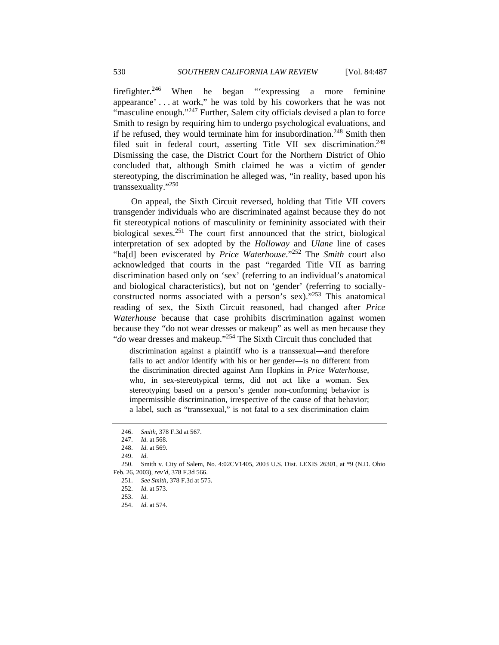firefighter.246 When he began "'expressing a more feminine appearance' . . . at work," he was told by his coworkers that he was not "masculine enough."<sup>247</sup> Further, Salem city officials devised a plan to force Smith to resign by requiring him to undergo psychological evaluations, and if he refused, they would terminate him for insubordination.<sup>248</sup> Smith then filed suit in federal court, asserting Title VII sex discrimination.<sup>249</sup> Dismissing the case, the District Court for the Northern District of Ohio concluded that, although Smith claimed he was a victim of gender stereotyping, the discrimination he alleged was, "in reality, based upon his transsexuality."250

On appeal, the Sixth Circuit reversed, holding that Title VII covers transgender individuals who are discriminated against because they do not fit stereotypical notions of masculinity or femininity associated with their biological sexes.<sup>251</sup> The court first announced that the strict, biological interpretation of sex adopted by the *Holloway* and *Ulane* line of cases "ha[d] been eviscerated by *Price Waterhouse*."<sup>252</sup> The *Smith* court also acknowledged that courts in the past "regarded Title VII as barring discrimination based only on 'sex' (referring to an individual's anatomical and biological characteristics), but not on 'gender' (referring to sociallyconstructed norms associated with a person's sex)."253 This anatomical reading of sex, the Sixth Circuit reasoned, had changed after *Price Waterhouse* because that case prohibits discrimination against women because they "do not wear dresses or makeup" as well as men because they "*do* wear dresses and makeup."254 The Sixth Circuit thus concluded that

discrimination against a plaintiff who is a transsexual—and therefore fails to act and/or identify with his or her gender—is no different from the discrimination directed against Ann Hopkins in *Price Waterhouse*, who, in sex-stereotypical terms, did not act like a woman. Sex stereotyping based on a person's gender non-conforming behavior is impermissible discrimination, irrespective of the cause of that behavior; a label, such as "transsexual," is not fatal to a sex discrimination claim

<sup>246.</sup> *Smith*, 378 F.3d at 567.

<sup>247.</sup> *Id.* at 568.

<sup>248.</sup> *Id.* at 569.

<sup>249.</sup> *Id.*

 <sup>250.</sup> Smith v. City of Salem, No. 4:02CV1405, 2003 U.S. Dist. LEXIS 26301, at \*9 (N.D. Ohio Feb. 26, 2003), *rev'd*, 378 F.3d 566.

<sup>251.</sup> *See Smith*, 378 F.3d at 575.

<sup>252.</sup> *Id.* at 573.

<sup>253.</sup> *Id.* 

<sup>254.</sup> *Id.* at 574.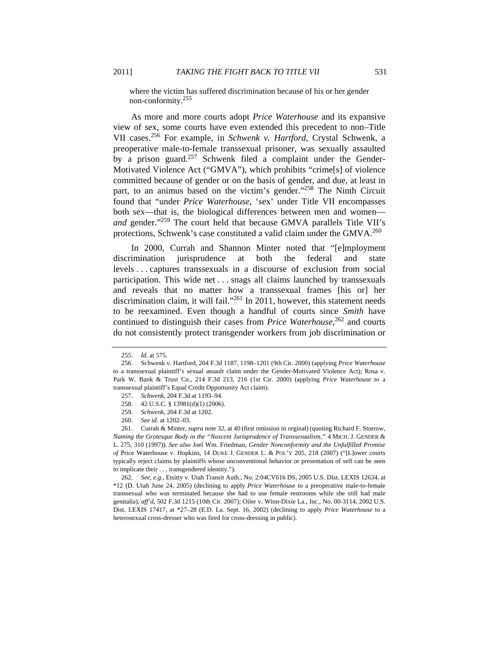where the victim has suffered discrimination because of his or her gender non-conformity.<sup>255</sup>

As more and more courts adopt *Price Waterhouse* and its expansive view of sex, some courts have even extended this precedent to non–Title VII cases.256 For example, in *Schwenk v. Hartford*, Crystal Schwenk, a preoperative male-to-female transsexual prisoner, was sexually assaulted by a prison guard.<sup>257</sup> Schwenk filed a complaint under the Gender-Motivated Violence Act ("GMVA"), which prohibits "crime[s] of violence committed because of gender or on the basis of gender, and due, at least in part, to an animus based on the victim's gender."258 The Ninth Circuit found that "under *Price Waterhouse*, 'sex' under Title VII encompasses both sex—that is, the biological differences between men and women *and* gender."259 The court held that because GMVA parallels Title VII's protections, Schwenk's case constituted a valid claim under the GMVA.<sup>260</sup>

In 2000, Currah and Shannon Minter noted that "[e]mployment discrimination jurisprudence at both the federal and state levels . . . captures transsexuals in a discourse of exclusion from social participation. This wide net . . . snags all claims launched by transsexuals and reveals that no matter how a transsexual frames [his or] her discrimination claim, it will fail."<sup>261</sup> In 2011, however, this statement needs to be reexamined. Even though a handful of courts since *Smith* have continued to distinguish their cases from *Price Waterhouse*, 262 and courts do not consistently protect transgender workers from job discrimination or

262. *See, e.g.*, Etsitty v. Utah Transit Auth., No. 2:04CV616 DS, 2005 U.S. Dist. LEXIS 12634, at \*12 (D. Utah June 24, 2005) (declining to apply *Price Waterhouse* to a preoperative male-to-female transsexual who was terminated because she had to use female restrooms while she still had male genitalia), *aff'd*, 502 F.3d 1215 (10th Cir. 2007); Oiler v. Winn-Dixie La., Inc., No. 00-3114, 2002 U.S. Dist. LEXIS 17417, at \*27–28 (E.D. La. Sept. 16, 2002) (declining to apply *Price Waterhouse* to a heterosexual cross-dresser who was fired for cross-dressing in public).

<sup>255.</sup> *Id.* at 575.

 <sup>256.</sup> Schwenk v. Hartford, 204 F.3d 1187, 1198–1201 (9th Cir. 2000) (applying *Price Waterhouse*  to a transsexual plaintiff's sexual assault claim under the Gender-Motivated Violence Act); Rosa v. Park W. Bank & Trust Co., 214 F.3d 213, 216 (1st Cir. 2000) (applying *Price Waterhouse* to a transsexual plaintiff's Equal Credit Opportunity Act claim).

<sup>257.</sup> *Schwenk*, 204 F.3d at 1193–94.

 <sup>258. 42</sup> U.S.C. § 13981(d)(1) (2006).

<sup>259.</sup> *Schwenk*, 204 F.3d at 1202.

<sup>260.</sup> *See id.* at 1202–03.

<sup>261.</sup> Currah & Minter, *supra* note 32, at 40 (first omission in orginal) (quoting Richard F. Storrow, *Naming the Grotesque Body in the "Nascent Jurisprudence of Transsexualism*,*"* 4 MICH. J. GENDER & L. 275, 310 (1997)). *See also* Joel Wm. Friedman, *Gender Nonconformity and the Unfulfilled Promise of* Price Waterhouse v. Hopkins, 14 DUKE J. GENDER L. & POL'Y 205, 218 (2007) ("[L]ower courts typically reject claims by plaintiffs whose unconventional behavior or presentation of self can be seen to implicate their . . . transgendered identity.").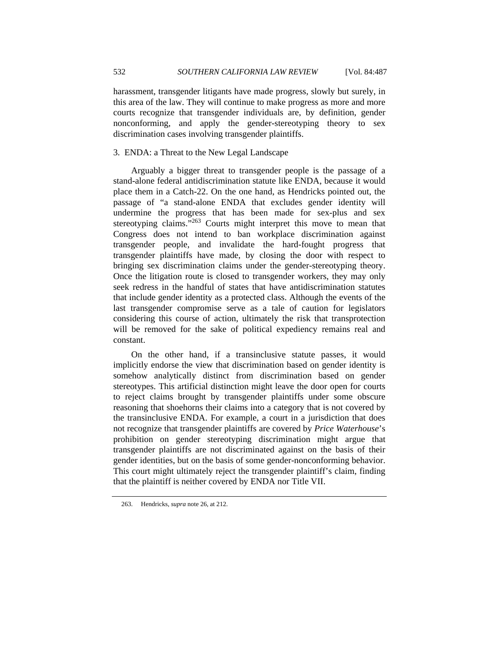harassment, transgender litigants have made progress, slowly but surely, in this area of the law. They will continue to make progress as more and more courts recognize that transgender individuals are, by definition, gender nonconforming, and apply the gender-stereotyping theory to sex discrimination cases involving transgender plaintiffs.

## 3. ENDA: a Threat to the New Legal Landscape

Arguably a bigger threat to transgender people is the passage of a stand-alone federal antidiscrimination statute like ENDA, because it would place them in a Catch-22. On the one hand, as Hendricks pointed out, the passage of "a stand-alone ENDA that excludes gender identity will undermine the progress that has been made for sex-plus and sex stereotyping claims."<sup>263</sup> Courts might interpret this move to mean that Congress does not intend to ban workplace discrimination against transgender people, and invalidate the hard-fought progress that transgender plaintiffs have made, by closing the door with respect to bringing sex discrimination claims under the gender-stereotyping theory. Once the litigation route is closed to transgender workers, they may only seek redress in the handful of states that have antidiscrimination statutes that include gender identity as a protected class. Although the events of the last transgender compromise serve as a tale of caution for legislators considering this course of action, ultimately the risk that transprotection will be removed for the sake of political expediency remains real and constant.

On the other hand, if a transinclusive statute passes, it would implicitly endorse the view that discrimination based on gender identity is somehow analytically distinct from discrimination based on gender stereotypes. This artificial distinction might leave the door open for courts to reject claims brought by transgender plaintiffs under some obscure reasoning that shoehorns their claims into a category that is not covered by the transinclusive ENDA. For example, a court in a jurisdiction that does not recognize that transgender plaintiffs are covered by *Price Waterhouse*'s prohibition on gender stereotyping discrimination might argue that transgender plaintiffs are not discriminated against on the basis of their gender identities, but on the basis of some gender-nonconforming behavior. This court might ultimately reject the transgender plaintiff's claim, finding that the plaintiff is neither covered by ENDA nor Title VII.

 <sup>263.</sup> Hendricks, *supra* note 26, at 212.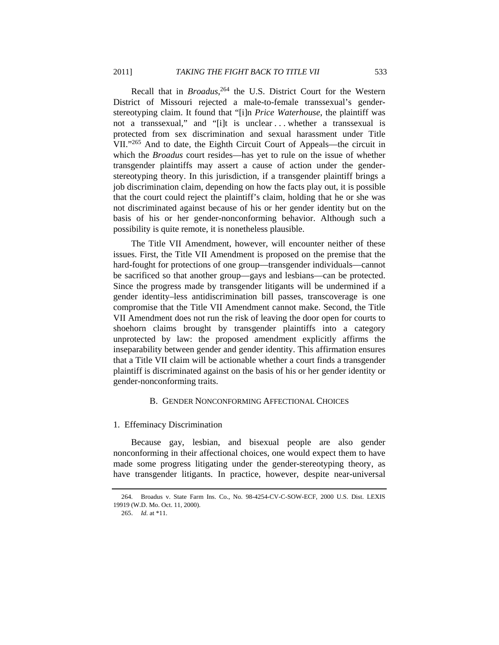Recall that in *Broadus*, 264 the U.S. District Court for the Western District of Missouri rejected a male-to-female transsexual's genderstereotyping claim. It found that "[i]n *Price Waterhouse*, the plaintiff was not a transsexual," and "[i]t is unclear . . . whether a transsexual is protected from sex discrimination and sexual harassment under Title VII."265 And to date, the Eighth Circuit Court of Appeals—the circuit in which the *Broadus* court resides—has yet to rule on the issue of whether transgender plaintiffs may assert a cause of action under the genderstereotyping theory. In this jurisdiction, if a transgender plaintiff brings a job discrimination claim, depending on how the facts play out, it is possible that the court could reject the plaintiff's claim, holding that he or she was not discriminated against because of his or her gender identity but on the basis of his or her gender-nonconforming behavior. Although such a possibility is quite remote, it is nonetheless plausible.

The Title VII Amendment, however, will encounter neither of these issues. First, the Title VII Amendment is proposed on the premise that the hard-fought for protections of one group—transgender individuals—cannot be sacrificed so that another group—gays and lesbians—can be protected. Since the progress made by transgender litigants will be undermined if a gender identity–less antidiscrimination bill passes, transcoverage is one compromise that the Title VII Amendment cannot make. Second, the Title VII Amendment does not run the risk of leaving the door open for courts to shoehorn claims brought by transgender plaintiffs into a category unprotected by law: the proposed amendment explicitly affirms the inseparability between gender and gender identity. This affirmation ensures that a Title VII claim will be actionable whether a court finds a transgender plaintiff is discriminated against on the basis of his or her gender identity or gender-nonconforming traits.

## B. GENDER NONCONFORMING AFFECTIONAL CHOICES

## 1. Effeminacy Discrimination

Because gay, lesbian, and bisexual people are also gender nonconforming in their affectional choices, one would expect them to have made some progress litigating under the gender-stereotyping theory, as have transgender litigants. In practice, however, despite near-universal

 <sup>264.</sup> Broadus v. State Farm Ins. Co., No. 98-4254-CV-C-SOW-ECF, 2000 U.S. Dist. LEXIS 19919 (W.D. Mo. Oct. 11, 2000).

<sup>265.</sup> *Id.* at \*11.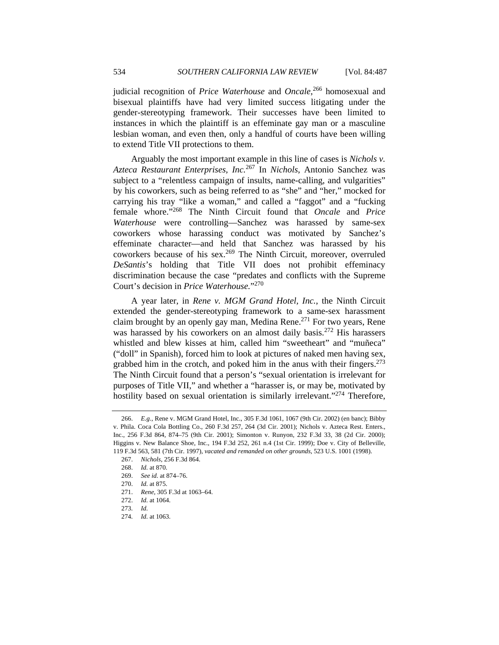judicial recognition of *Price Waterhouse* and *Oncale*, 266 homosexual and bisexual plaintiffs have had very limited success litigating under the gender-stereotyping framework. Their successes have been limited to instances in which the plaintiff is an effeminate gay man or a masculine lesbian woman, and even then, only a handful of courts have been willing to extend Title VII protections to them.

Arguably the most important example in this line of cases is *Nichols v. Azteca Restaurant Enterprises, Inc.*267 In *Nichols*, Antonio Sanchez was subject to a "relentless campaign of insults, name-calling, and vulgarities" by his coworkers, such as being referred to as "she" and "her," mocked for carrying his tray "like a woman," and called a "faggot" and a "fucking female whore."268 The Ninth Circuit found that *Oncale* and *Price Waterhouse* were controlling—Sanchez was harassed by same-sex coworkers whose harassing conduct was motivated by Sanchez's effeminate character—and held that Sanchez was harassed by his coworkers because of his sex.<sup>269</sup> The Ninth Circuit, moreover, overruled *DeSantis*'s holding that Title VII does not prohibit effeminacy discrimination because the case "predates and conflicts with the Supreme Court's decision in *Price Waterhouse.*"270

A year later, in *Rene v. MGM Grand Hotel, Inc.*, the Ninth Circuit extended the gender-stereotyping framework to a same-sex harassment claim brought by an openly gay man, Medina Rene.<sup>271</sup> For two years, Rene was harassed by his coworkers on an almost daily basis.<sup>272</sup> His harassers whistled and blew kisses at him, called him "sweetheart" and "muñeca" ("doll" in Spanish), forced him to look at pictures of naked men having sex, grabbed him in the crotch, and poked him in the anus with their fingers. $273$ The Ninth Circuit found that a person's "sexual orientation is irrelevant for purposes of Title VII," and whether a "harasser is, or may be, motivated by hostility based on sexual orientation is similarly irrelevant."<sup>274</sup> Therefore,

<sup>266.</sup> *E.g.*, Rene v. MGM Grand Hotel, Inc., 305 F.3d 1061, 1067 (9th Cir. 2002) (en banc); Bibby v. Phila. Coca Cola Bottling Co., 260 F.3d 257, 264 (3d Cir. 2001); Nichols v. Azteca Rest. Enters., Inc., 256 F.3d 864, 874–75 (9th Cir. 2001); Simonton v. Runyon, 232 F.3d 33, 38 (2d Cir. 2000); Higgins v. New Balance Shoe, Inc., 194 F.3d 252, 261 n.4 (1st Cir. 1999); Doe v. City of Belleville, 119 F.3d 563, 581 (7th Cir. 1997), *vacated and remanded on other grounds*, 523 U.S. 1001 (1998).

 <sup>267.</sup> *Nichols*, 256 F.3d 864.

<sup>268.</sup> *Id.* at 870.

<sup>269.</sup> *See id.* at 874–76.

<sup>270.</sup> *Id.* at 875.

 <sup>271.</sup> *Rene*, 305 F.3d at 1063–64.

<sup>272.</sup> *Id.* at 1064.

<sup>273.</sup> *Id.*

<sup>274.</sup> *Id.* at 1063.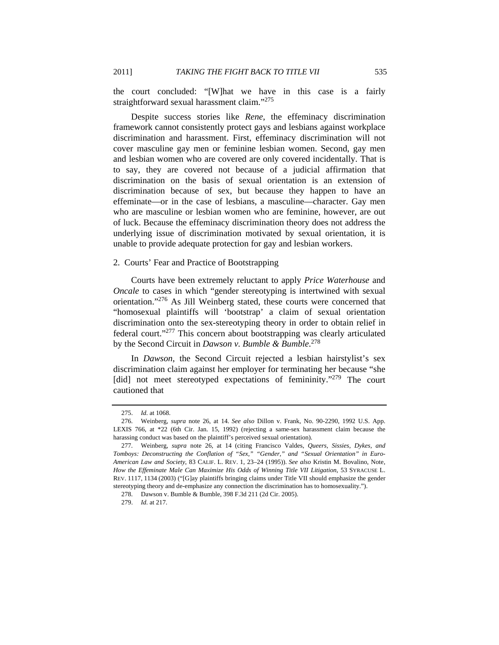the court concluded: "[W]hat we have in this case is a fairly straightforward sexual harassment claim."<sup>275</sup>

Despite success stories like *Rene*, the effeminacy discrimination framework cannot consistently protect gays and lesbians against workplace discrimination and harassment. First, effeminacy discrimination will not cover masculine gay men or feminine lesbian women. Second, gay men and lesbian women who are covered are only covered incidentally. That is to say, they are covered not because of a judicial affirmation that discrimination on the basis of sexual orientation is an extension of discrimination because of sex, but because they happen to have an effeminate—or in the case of lesbians, a masculine—character. Gay men who are masculine or lesbian women who are feminine, however, are out of luck. Because the effeminacy discrimination theory does not address the underlying issue of discrimination motivated by sexual orientation, it is unable to provide adequate protection for gay and lesbian workers.

#### 2. Courts' Fear and Practice of Bootstrapping

Courts have been extremely reluctant to apply *Price Waterhouse* and *Oncale* to cases in which "gender stereotyping is intertwined with sexual orientation."276 As Jill Weinberg stated, these courts were concerned that "homosexual plaintiffs will 'bootstrap' a claim of sexual orientation discrimination onto the sex-stereotyping theory in order to obtain relief in federal court."277 This concern about bootstrapping was clearly articulated by the Second Circuit in *Dawson v. Bumble & Bumble*. 278

In *Dawson*, the Second Circuit rejected a lesbian hairstylist's sex discrimination claim against her employer for terminating her because "she [did] not meet stereotyped expectations of femininity."<sup>279</sup> The court cautioned that

<sup>275.</sup> *Id.* at 1068.

 <sup>276.</sup> Weinberg, *supra* note 26, at 14. *See also* Dillon v. Frank, No. 90-2290, 1992 U.S. App. LEXIS 766, at \*22 (6th Cir. Jan. 15, 1992) (rejecting a same-sex harassment claim because the harassing conduct was based on the plaintiff's perceived sexual orientation).

 <sup>277.</sup> Weinberg, *supra* note 26, at 14 (citing Francisco Valdes, *Queers, Sissies, Dykes, and Tomboys: Deconstructing the Conflation of "Sex," "Gender," and "Sexual Orientation" in Euro-American Law and Society*, 83 CALIF. L. REV. 1, 23–24 (1995)). *See also* Kristin M. Bovalino, Note, *How the Effeminate Male Can Maximize His Odds of Winning Title VII Litigation*, 53 SYRACUSE L. REV. 1117, 1134 (2003) ("[G]ay plaintiffs bringing claims under Title VII should emphasize the gender stereotyping theory and de-emphasize any connection the discrimination has to homosexuality.").

 <sup>278.</sup> Dawson v. Bumble & Bumble, 398 F.3d 211 (2d Cir. 2005).

<sup>279.</sup> *Id.* at 217.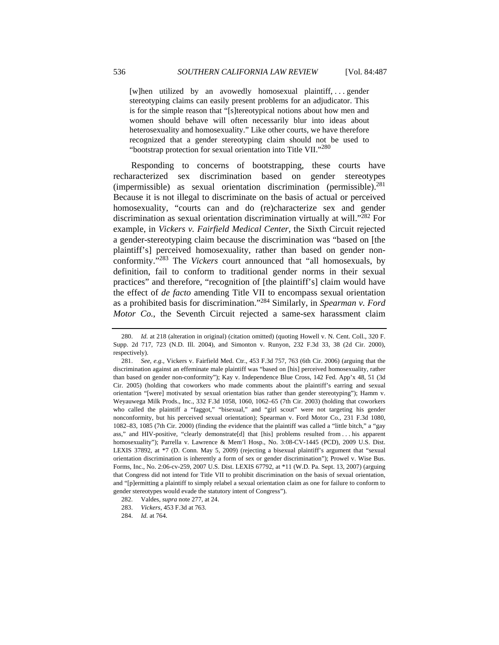[w]hen utilized by an avowedly homosexual plaintiff, . . . gender stereotyping claims can easily present problems for an adjudicator. This is for the simple reason that "[s]tereotypical notions about how men and women should behave will often necessarily blur into ideas about heterosexuality and homosexuality." Like other courts, we have therefore recognized that a gender stereotyping claim should not be used to "bootstrap protection for sexual orientation into Title VII."<sup>280</sup>

Responding to concerns of bootstrapping, these courts have recharacterized sex discrimination based on gender stereotypes (impermissible) as sexual orientation discrimination (permissible).281 Because it is not illegal to discriminate on the basis of actual or perceived homosexuality, "courts can and do (re)characterize sex and gender discrimination as sexual orientation discrimination virtually at will."282 For example, in *Vickers v. Fairfield Medical Center*, the Sixth Circuit rejected a gender-stereotyping claim because the discrimination was "based on [the plaintiff's] perceived homosexuality, rather than based on gender nonconformity."283 The *Vickers* court announced that "all homosexuals, by definition, fail to conform to traditional gender norms in their sexual practices" and therefore, "recognition of [the plaintiff's] claim would have the effect of *de facto* amending Title VII to encompass sexual orientation as a prohibited basis for discrimination."284 Similarly, in *Spearman v. Ford Motor Co.*, the Seventh Circuit rejected a same-sex harassment claim

<sup>280.</sup> *Id.* at 218 (alteration in original) (citation omitted) (quoting Howell v. N. Cent. Coll., 320 F. Supp. 2d 717, 723 (N.D. Ill. 2004), and Simonton v. Runyon, 232 F.3d 33, 38 (2d Cir. 2000), respectively).

<sup>281.</sup> *See, e.g.*, Vickers v. Fairfield Med. Ctr., 453 F.3d 757, 763 (6th Cir. 2006) (arguing that the discrimination against an effeminate male plaintiff was "based on [his] perceived homosexuality, rather than based on gender non-conformity"); Kay v. Independence Blue Cross, 142 Fed. App'x 48, 51 (3d Cir. 2005) (holding that coworkers who made comments about the plaintiff's earring and sexual orientation "[were] motivated by sexual orientation bias rather than gender stereotyping"); Hamm v. Weyauwega Milk Prods., Inc., 332 F.3d 1058, 1060, 1062–65 (7th Cir. 2003) (holding that coworkers who called the plaintiff a "faggot," "bisexual," and "girl scout" were not targeting his gender nonconformity, but his perceived sexual orientation); Spearman v. Ford Motor Co., 231 F.3d 1080, 1082–83, 1085 (7th Cir. 2000) (finding the evidence that the plaintiff was called a "little bitch," a "gay ass," and HIV-positive, "clearly demonstrate[d] that [his] problems resulted from . . . his apparent homosexuality"); Parrella v. Lawrence & Mem'l Hosp., No. 3:08-CV-1445 (PCD), 2009 U.S. Dist. LEXIS 37892, at \*7 (D. Conn. May 5, 2009) (rejecting a bisexual plaintiff's argument that "sexual orientation discrimination is inherently a form of sex or gender discrimination"); Prowel v. Wise Bus. Forms, Inc., No. 2:06-cv-259, 2007 U.S. Dist. LEXIS 67792, at \*11 (W.D. Pa. Sept. 13, 2007) (arguing that Congress did not intend for Title VII to prohibit discrimination on the basis of sexual orientation, and "[p]ermitting a plaintiff to simply relabel a sexual orientation claim as one for failure to conform to gender stereotypes would evade the statutory intent of Congress").

 <sup>282.</sup> Valdes, *supra* note 277, at 24.

<sup>283.</sup> *Vickers*, 453 F.3d at 763.

<sup>284.</sup> *Id.* at 764.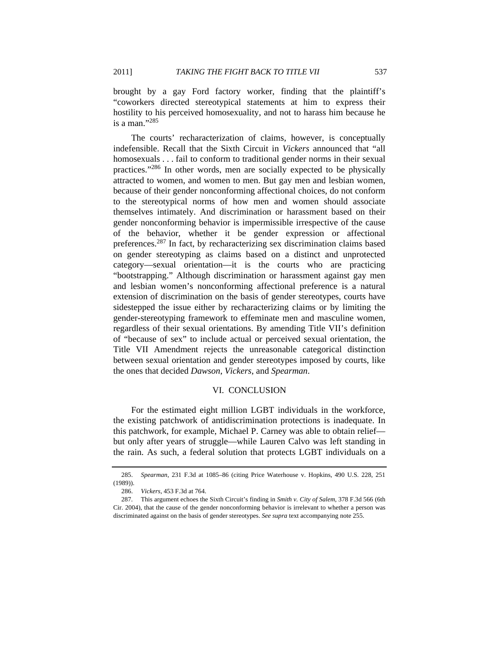brought by a gay Ford factory worker, finding that the plaintiff's "coworkers directed stereotypical statements at him to express their hostility to his perceived homosexuality, and not to harass him because he is a man."285

The courts' recharacterization of claims, however, is conceptually indefensible. Recall that the Sixth Circuit in *Vickers* announced that "all homosexuals . . . fail to conform to traditional gender norms in their sexual practices."286 In other words, men are socially expected to be physically attracted to women, and women to men. But gay men and lesbian women, because of their gender nonconforming affectional choices, do not conform to the stereotypical norms of how men and women should associate themselves intimately. And discrimination or harassment based on their gender nonconforming behavior is impermissible irrespective of the cause of the behavior, whether it be gender expression or affectional preferences.287 In fact, by recharacterizing sex discrimination claims based on gender stereotyping as claims based on a distinct and unprotected category—sexual orientation—it is the courts who are practicing "bootstrapping." Although discrimination or harassment against gay men and lesbian women's nonconforming affectional preference is a natural extension of discrimination on the basis of gender stereotypes, courts have sidestepped the issue either by recharacterizing claims or by limiting the gender-stereotyping framework to effeminate men and masculine women, regardless of their sexual orientations. By amending Title VII's definition of "because of sex" to include actual or perceived sexual orientation, the Title VII Amendment rejects the unreasonable categorical distinction between sexual orientation and gender stereotypes imposed by courts, like the ones that decided *Dawson*, *Vickers*, and *Spearman*.

## VI. CONCLUSION

For the estimated eight million LGBT individuals in the workforce, the existing patchwork of antidiscrimination protections is inadequate. In this patchwork, for example, Michael P. Carney was able to obtain relief but only after years of struggle—while Lauren Calvo was left standing in the rain. As such, a federal solution that protects LGBT individuals on a

 <sup>285.</sup> *Spearman*, 231 F.3d at 1085–86 (citing Price Waterhouse v. Hopkins, 490 U.S. 228, 251 (1989)).

<sup>286.</sup> *Vickers*, 453 F.3d at 764.

 <sup>287.</sup> This argument echoes the Sixth Circuit's finding in *Smith v. City of Salem*, 378 F.3d 566 (6th Cir. 2004), that the cause of the gender nonconforming behavior is irrelevant to whether a person was discriminated against on the basis of gender stereotypes. *See supra* text accompanying note 255.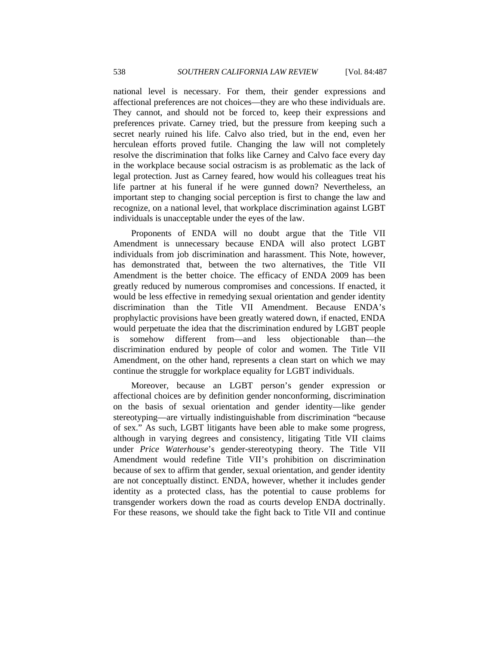national level is necessary. For them, their gender expressions and affectional preferences are not choices—they are who these individuals are. They cannot, and should not be forced to, keep their expressions and preferences private. Carney tried, but the pressure from keeping such a secret nearly ruined his life. Calvo also tried, but in the end, even her herculean efforts proved futile. Changing the law will not completely resolve the discrimination that folks like Carney and Calvo face every day in the workplace because social ostracism is as problematic as the lack of legal protection. Just as Carney feared, how would his colleagues treat his life partner at his funeral if he were gunned down? Nevertheless, an important step to changing social perception is first to change the law and recognize, on a national level, that workplace discrimination against LGBT individuals is unacceptable under the eyes of the law.

Proponents of ENDA will no doubt argue that the Title VII Amendment is unnecessary because ENDA will also protect LGBT individuals from job discrimination and harassment. This Note, however, has demonstrated that, between the two alternatives, the Title VII Amendment is the better choice. The efficacy of ENDA 2009 has been greatly reduced by numerous compromises and concessions. If enacted, it would be less effective in remedying sexual orientation and gender identity discrimination than the Title VII Amendment. Because ENDA's prophylactic provisions have been greatly watered down, if enacted, ENDA would perpetuate the idea that the discrimination endured by LGBT people is somehow different from—and less objectionable than—the discrimination endured by people of color and women. The Title VII Amendment, on the other hand, represents a clean start on which we may continue the struggle for workplace equality for LGBT individuals.

Moreover, because an LGBT person's gender expression or affectional choices are by definition gender nonconforming, discrimination on the basis of sexual orientation and gender identity—like gender stereotyping—are virtually indistinguishable from discrimination "because of sex." As such, LGBT litigants have been able to make some progress, although in varying degrees and consistency, litigating Title VII claims under *Price Waterhouse*'s gender-stereotyping theory. The Title VII Amendment would redefine Title VII's prohibition on discrimination because of sex to affirm that gender, sexual orientation, and gender identity are not conceptually distinct. ENDA, however, whether it includes gender identity as a protected class, has the potential to cause problems for transgender workers down the road as courts develop ENDA doctrinally. For these reasons, we should take the fight back to Title VII and continue